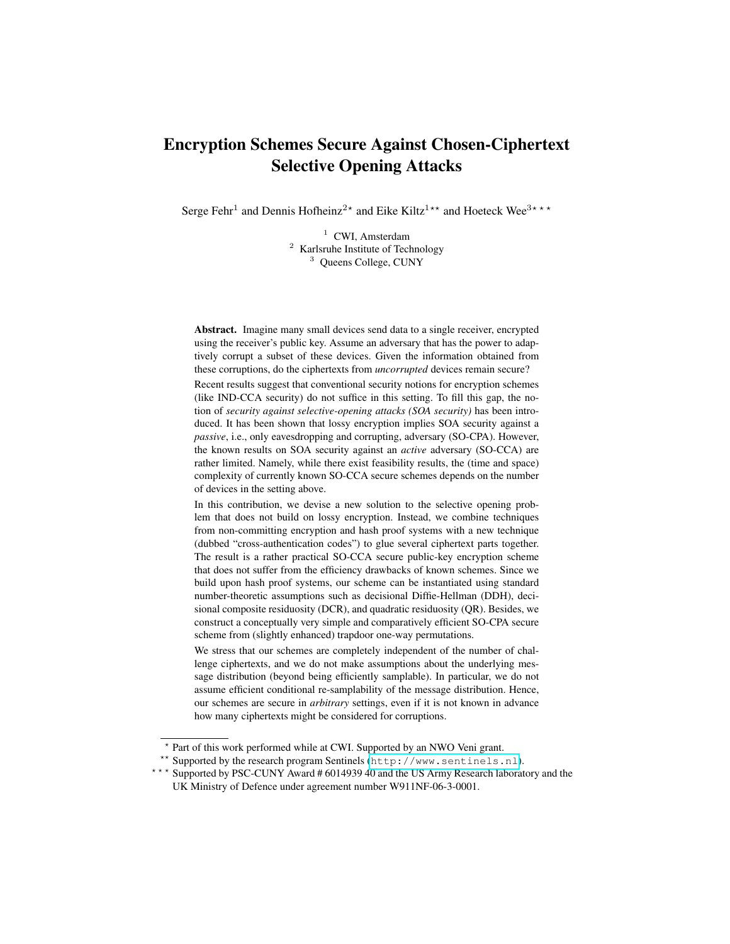# Encryption Schemes Secure Against Chosen-Ciphertext Selective Opening Attacks

Serge Fehr<sup>1</sup> and Dennis Hofheinz<sup>2\*</sup> and Eike Kiltz<sup>1\*\*</sup> and Hoeteck Wee<sup>3\*\*\*</sup>

 $1$  CWI, Amsterdam <sup>2</sup> Karlsruhe Institute of Technology <sup>3</sup> Queens College, CUNY

Abstract. Imagine many small devices send data to a single receiver, encrypted using the receiver's public key. Assume an adversary that has the power to adaptively corrupt a subset of these devices. Given the information obtained from these corruptions, do the ciphertexts from *uncorrupted* devices remain secure?

Recent results suggest that conventional security notions for encryption schemes (like IND-CCA security) do not suffice in this setting. To fill this gap, the notion of *security against selective-opening attacks (SOA security)* has been introduced. It has been shown that lossy encryption implies SOA security against a *passive*, i.e., only eavesdropping and corrupting, adversary (SO-CPA). However, the known results on SOA security against an *active* adversary (SO-CCA) are rather limited. Namely, while there exist feasibility results, the (time and space) complexity of currently known SO-CCA secure schemes depends on the number of devices in the setting above.

In this contribution, we devise a new solution to the selective opening problem that does not build on lossy encryption. Instead, we combine techniques from non-committing encryption and hash proof systems with a new technique (dubbed "cross-authentication codes") to glue several ciphertext parts together. The result is a rather practical SO-CCA secure public-key encryption scheme that does not suffer from the efficiency drawbacks of known schemes. Since we build upon hash proof systems, our scheme can be instantiated using standard number-theoretic assumptions such as decisional Diffie-Hellman (DDH), decisional composite residuosity (DCR), and quadratic residuosity (QR). Besides, we construct a conceptually very simple and comparatively efficient SO-CPA secure scheme from (slightly enhanced) trapdoor one-way permutations.

We stress that our schemes are completely independent of the number of challenge ciphertexts, and we do not make assumptions about the underlying message distribution (beyond being efficiently samplable). In particular, we do not assume efficient conditional re-samplability of the message distribution. Hence, our schemes are secure in *arbitrary* settings, even if it is not known in advance how many ciphertexts might be considered for corruptions.

<sup>?</sup> Part of this work performed while at CWI. Supported by an NWO Veni grant.

<sup>\*\*</sup> Supported by the research program Sentinels (<http://www.sentinels.nl>).

Supported by PSC-CUNY Award # 6014939 40 and the US Army Research laboratory and the UK Ministry of Defence under agreement number W911NF-06-3-0001.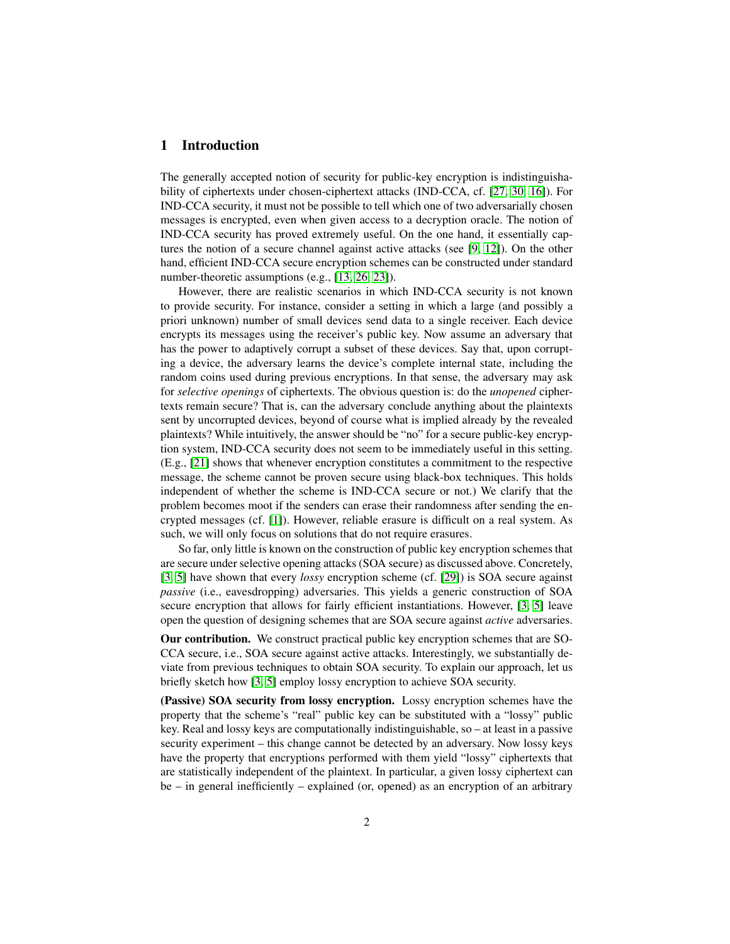## 1 Introduction

The generally accepted notion of security for public-key encryption is indistinguishability of ciphertexts under chosen-ciphertext attacks (IND-CCA, cf. [\[27,](#page-21-0) [30,](#page-21-1) [16\]](#page-21-2)). For IND-CCA security, it must not be possible to tell which one of two adversarially chosen messages is encrypted, even when given access to a decryption oracle. The notion of IND-CCA security has proved extremely useful. On the one hand, it essentially captures the notion of a secure channel against active attacks (see [\[9,](#page-21-3) [12\]](#page-21-4)). On the other hand, efficient IND-CCA secure encryption schemes can be constructed under standard number-theoretic assumptions (e.g., [\[13,](#page-21-5) [26,](#page-21-6) [23\]](#page-21-7)).

However, there are realistic scenarios in which IND-CCA security is not known to provide security. For instance, consider a setting in which a large (and possibly a priori unknown) number of small devices send data to a single receiver. Each device encrypts its messages using the receiver's public key. Now assume an adversary that has the power to adaptively corrupt a subset of these devices. Say that, upon corrupting a device, the adversary learns the device's complete internal state, including the random coins used during previous encryptions. In that sense, the adversary may ask for *selective openings* of ciphertexts. The obvious question is: do the *unopened* ciphertexts remain secure? That is, can the adversary conclude anything about the plaintexts sent by uncorrupted devices, beyond of course what is implied already by the revealed plaintexts? While intuitively, the answer should be "no" for a secure public-key encryption system, IND-CCA security does not seem to be immediately useful in this setting. (E.g., [\[21\]](#page-21-8) shows that whenever encryption constitutes a commitment to the respective message, the scheme cannot be proven secure using black-box techniques. This holds independent of whether the scheme is IND-CCA secure or not.) We clarify that the problem becomes moot if the senders can erase their randomness after sending the encrypted messages (cf. [\[1\]](#page-20-0)). However, reliable erasure is difficult on a real system. As such, we will only focus on solutions that do not require erasures.

So far, only little is known on the construction of public key encryption schemes that are secure under selective opening attacks (SOA secure) as discussed above. Concretely, [\[3,](#page-20-1) [5\]](#page-20-2) have shown that every *lossy* encryption scheme (cf. [\[29\]](#page-21-9)) is SOA secure against *passive* (i.e., eavesdropping) adversaries. This yields a generic construction of SOA secure encryption that allows for fairly efficient instantiations. However, [\[3,](#page-20-1) [5\]](#page-20-2) leave open the question of designing schemes that are SOA secure against *active* adversaries.

Our contribution. We construct practical public key encryption schemes that are SO-CCA secure, i.e., SOA secure against active attacks. Interestingly, we substantially deviate from previous techniques to obtain SOA security. To explain our approach, let us briefly sketch how [\[3,](#page-20-1) [5\]](#page-20-2) employ lossy encryption to achieve SOA security.

(Passive) SOA security from lossy encryption. Lossy encryption schemes have the property that the scheme's "real" public key can be substituted with a "lossy" public key. Real and lossy keys are computationally indistinguishable, so – at least in a passive security experiment – this change cannot be detected by an adversary. Now lossy keys have the property that encryptions performed with them yield "lossy" ciphertexts that are statistically independent of the plaintext. In particular, a given lossy ciphertext can be – in general inefficiently – explained (or, opened) as an encryption of an arbitrary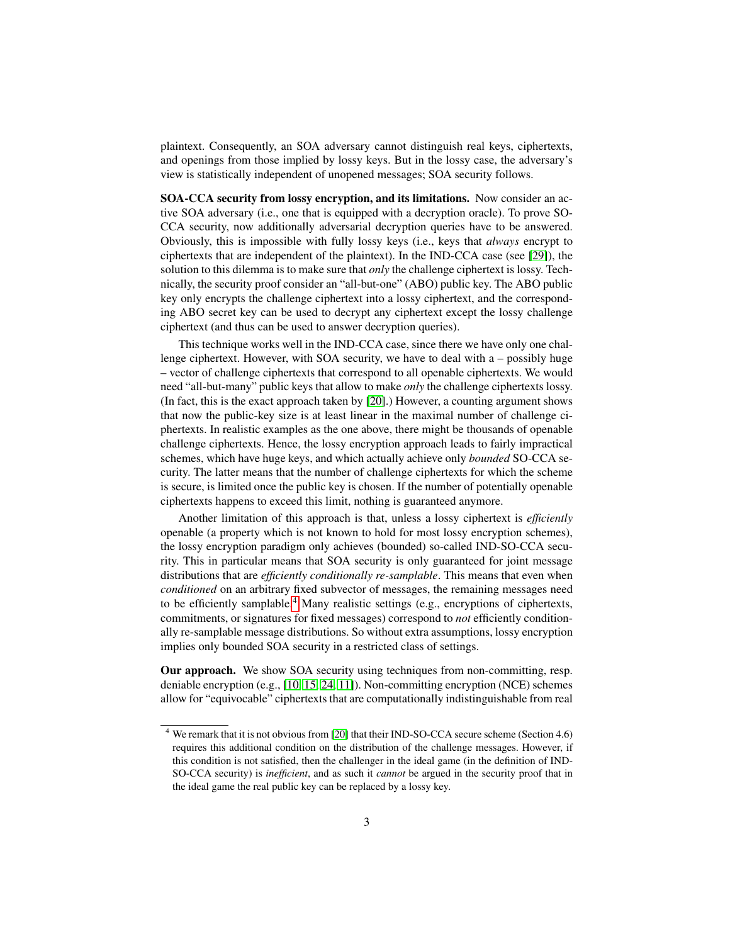plaintext. Consequently, an SOA adversary cannot distinguish real keys, ciphertexts, and openings from those implied by lossy keys. But in the lossy case, the adversary's view is statistically independent of unopened messages; SOA security follows.

SOA-CCA security from lossy encryption, and its limitations. Now consider an active SOA adversary (i.e., one that is equipped with a decryption oracle). To prove SO-CCA security, now additionally adversarial decryption queries have to be answered. Obviously, this is impossible with fully lossy keys (i.e., keys that *always* encrypt to ciphertexts that are independent of the plaintext). In the IND-CCA case (see [\[29\]](#page-21-9)), the solution to this dilemma is to make sure that *only* the challenge ciphertext is lossy. Technically, the security proof consider an "all-but-one" (ABO) public key. The ABO public key only encrypts the challenge ciphertext into a lossy ciphertext, and the corresponding ABO secret key can be used to decrypt any ciphertext except the lossy challenge ciphertext (and thus can be used to answer decryption queries).

This technique works well in the IND-CCA case, since there we have only one challenge ciphertext. However, with SOA security, we have to deal with a – possibly huge – vector of challenge ciphertexts that correspond to all openable ciphertexts. We would need "all-but-many" public keys that allow to make *only* the challenge ciphertexts lossy. (In fact, this is the exact approach taken by [\[20\]](#page-21-10).) However, a counting argument shows that now the public-key size is at least linear in the maximal number of challenge ciphertexts. In realistic examples as the one above, there might be thousands of openable challenge ciphertexts. Hence, the lossy encryption approach leads to fairly impractical schemes, which have huge keys, and which actually achieve only *bounded* SO-CCA security. The latter means that the number of challenge ciphertexts for which the scheme is secure, is limited once the public key is chosen. If the number of potentially openable ciphertexts happens to exceed this limit, nothing is guaranteed anymore.

Another limitation of this approach is that, unless a lossy ciphertext is *efficiently* openable (a property which is not known to hold for most lossy encryption schemes), the lossy encryption paradigm only achieves (bounded) so-called IND-SO-CCA security. This in particular means that SOA security is only guaranteed for joint message distributions that are *efficiently conditionally re-samplable*. This means that even when *conditioned* on an arbitrary fixed subvector of messages, the remaining messages need to be efficiently samplable.<sup>[4](#page-2-0)</sup> Many realistic settings (e.g., encryptions of ciphertexts, commitments, or signatures for fixed messages) correspond to *not* efficiently conditionally re-samplable message distributions. So without extra assumptions, lossy encryption implies only bounded SOA security in a restricted class of settings.

Our approach. We show SOA security using techniques from non-committing, resp. deniable encryption (e.g., [\[10,](#page-21-11) [15,](#page-21-12) [24,](#page-21-13) [11\]](#page-21-14)). Non-committing encryption (NCE) schemes allow for "equivocable" ciphertexts that are computationally indistinguishable from real

<span id="page-2-0"></span><sup>&</sup>lt;sup>4</sup> We remark that it is not obvious from [\[20\]](#page-21-10) that their IND-SO-CCA secure scheme (Section 4.6) requires this additional condition on the distribution of the challenge messages. However, if this condition is not satisfied, then the challenger in the ideal game (in the definition of IND-SO-CCA security) is *inefficient*, and as such it *cannot* be argued in the security proof that in the ideal game the real public key can be replaced by a lossy key.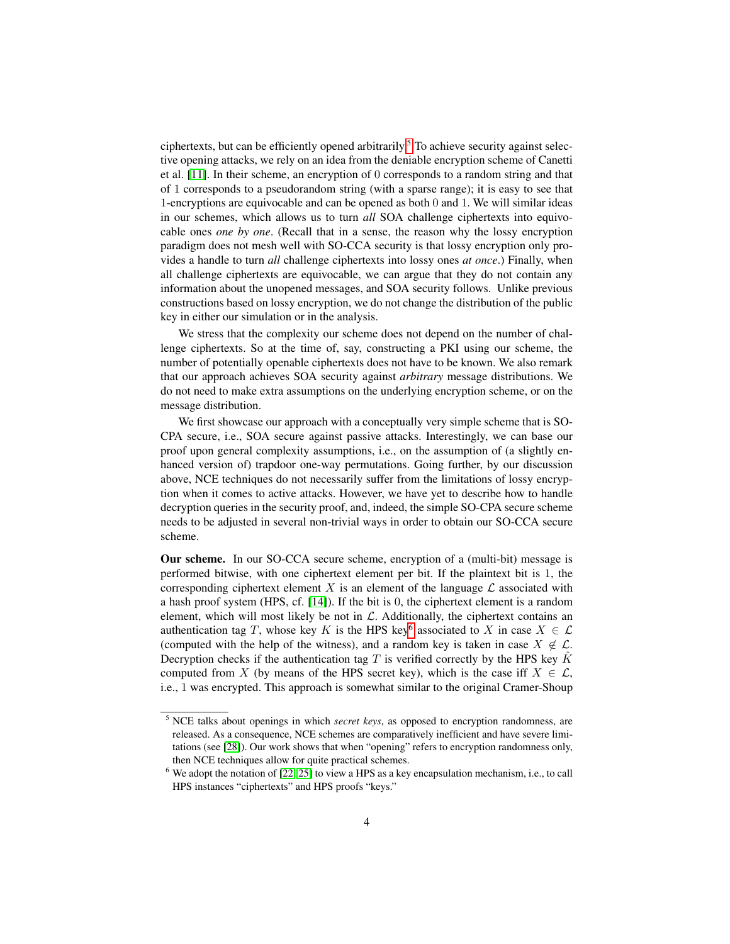ciphertexts, but can be efficiently opened arbitrarily.<sup>[5](#page-3-0)</sup> To achieve security against selective opening attacks, we rely on an idea from the deniable encryption scheme of Canetti et al. [\[11\]](#page-21-14). In their scheme, an encryption of 0 corresponds to a random string and that of 1 corresponds to a pseudorandom string (with a sparse range); it is easy to see that 1-encryptions are equivocable and can be opened as both 0 and 1. We will similar ideas in our schemes, which allows us to turn *all* SOA challenge ciphertexts into equivocable ones *one by one*. (Recall that in a sense, the reason why the lossy encryption paradigm does not mesh well with SO-CCA security is that lossy encryption only provides a handle to turn *all* challenge ciphertexts into lossy ones *at once*.) Finally, when all challenge ciphertexts are equivocable, we can argue that they do not contain any information about the unopened messages, and SOA security follows. Unlike previous constructions based on lossy encryption, we do not change the distribution of the public key in either our simulation or in the analysis.

We stress that the complexity our scheme does not depend on the number of challenge ciphertexts. So at the time of, say, constructing a PKI using our scheme, the number of potentially openable ciphertexts does not have to be known. We also remark that our approach achieves SOA security against *arbitrary* message distributions. We do not need to make extra assumptions on the underlying encryption scheme, or on the message distribution.

We first showcase our approach with a conceptually very simple scheme that is SO-CPA secure, i.e., SOA secure against passive attacks. Interestingly, we can base our proof upon general complexity assumptions, i.e., on the assumption of (a slightly enhanced version of) trapdoor one-way permutations. Going further, by our discussion above, NCE techniques do not necessarily suffer from the limitations of lossy encryption when it comes to active attacks. However, we have yet to describe how to handle decryption queries in the security proof, and, indeed, the simple SO-CPA secure scheme needs to be adjusted in several non-trivial ways in order to obtain our SO-CCA secure scheme.

Our scheme. In our SO-CCA secure scheme, encryption of a (multi-bit) message is performed bitwise, with one ciphertext element per bit. If the plaintext bit is 1, the corresponding ciphertext element X is an element of the language  $\mathcal L$  associated with a hash proof system (HPS, cf. [\[14\]](#page-21-15)). If the bit is 0, the ciphertext element is a random element, which will most likely be not in  $\mathcal{L}$ . Additionally, the ciphertext contains an authentication tag T, whose key K is the HPS key<sup>[6](#page-3-1)</sup> associated to X in case  $X \in \mathcal{L}$ (computed with the help of the witness), and a random key is taken in case  $X \notin \mathcal{L}$ . Decryption checks if the authentication tag T is verified correctly by the HPS key  $\hat{K}$ computed from X (by means of the HPS secret key), which is the case iff  $X \in \mathcal{L}$ , i.e., 1 was encrypted. This approach is somewhat similar to the original Cramer-Shoup

<span id="page-3-0"></span><sup>5</sup> NCE talks about openings in which *secret keys*, as opposed to encryption randomness, are released. As a consequence, NCE schemes are comparatively inefficient and have severe limitations (see [\[28\]](#page-21-16)). Our work shows that when "opening" refers to encryption randomness only, then NCE techniques allow for quite practical schemes.

<span id="page-3-1"></span> $6$  We adopt the notation of [\[22,](#page-21-17) [25\]](#page-21-18) to view a HPS as a key encapsulation mechanism, i.e., to call HPS instances "ciphertexts" and HPS proofs "keys."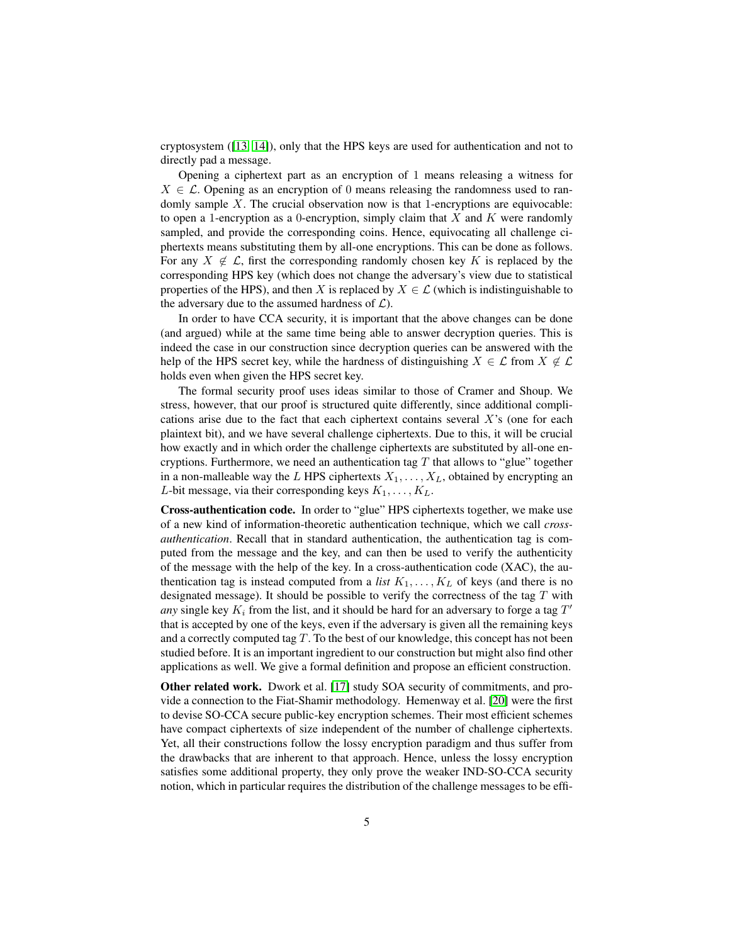cryptosystem ([\[13,](#page-21-5) [14\]](#page-21-15)), only that the HPS keys are used for authentication and not to directly pad a message.

Opening a ciphertext part as an encryption of 1 means releasing a witness for  $X \in \mathcal{L}$ . Opening as an encryption of 0 means releasing the randomness used to randomly sample  $X$ . The crucial observation now is that 1-encryptions are equivocable: to open a 1-encryption as a 0-encryption, simply claim that  $X$  and  $K$  were randomly sampled, and provide the corresponding coins. Hence, equivocating all challenge ciphertexts means substituting them by all-one encryptions. This can be done as follows. For any  $X \notin \mathcal{L}$ , first the corresponding randomly chosen key K is replaced by the corresponding HPS key (which does not change the adversary's view due to statistical properties of the HPS), and then X is replaced by  $X \in \mathcal{L}$  (which is indistinguishable to the adversary due to the assumed hardness of  $\mathcal{L}$ ).

In order to have CCA security, it is important that the above changes can be done (and argued) while at the same time being able to answer decryption queries. This is indeed the case in our construction since decryption queries can be answered with the help of the HPS secret key, while the hardness of distinguishing  $X \in \mathcal{L}$  from  $X \notin \mathcal{L}$ holds even when given the HPS secret key.

The formal security proof uses ideas similar to those of Cramer and Shoup. We stress, however, that our proof is structured quite differently, since additional complications arise due to the fact that each ciphertext contains several  $X$ 's (one for each plaintext bit), and we have several challenge ciphertexts. Due to this, it will be crucial how exactly and in which order the challenge ciphertexts are substituted by all-one encryptions. Furthermore, we need an authentication tag  $T$  that allows to "glue" together in a non-malleable way the L HPS ciphertexts  $X_1, \ldots, X_L$ , obtained by encrypting an L-bit message, via their corresponding keys  $K_1, \ldots, K_L$ .

Cross-authentication code. In order to "glue" HPS ciphertexts together, we make use of a new kind of information-theoretic authentication technique, which we call *crossauthentication*. Recall that in standard authentication, the authentication tag is computed from the message and the key, and can then be used to verify the authenticity of the message with the help of the key. In a cross-authentication code (XAC), the authentication tag is instead computed from a *list*  $K_1, \ldots, K_L$  of keys (and there is no designated message). It should be possible to verify the correctness of the tag  $T$  with *any* single key  $K_i$  from the list, and it should be hard for an adversary to forge a tag  $T'$ that is accepted by one of the keys, even if the adversary is given all the remaining keys and a correctly computed tag  $T$ . To the best of our knowledge, this concept has not been studied before. It is an important ingredient to our construction but might also find other applications as well. We give a formal definition and propose an efficient construction.

Other related work. Dwork et al. [\[17\]](#page-21-19) study SOA security of commitments, and provide a connection to the Fiat-Shamir methodology. Hemenway et al. [\[20\]](#page-21-10) were the first to devise SO-CCA secure public-key encryption schemes. Their most efficient schemes have compact ciphertexts of size independent of the number of challenge ciphertexts. Yet, all their constructions follow the lossy encryption paradigm and thus suffer from the drawbacks that are inherent to that approach. Hence, unless the lossy encryption satisfies some additional property, they only prove the weaker IND-SO-CCA security notion, which in particular requires the distribution of the challenge messages to be effi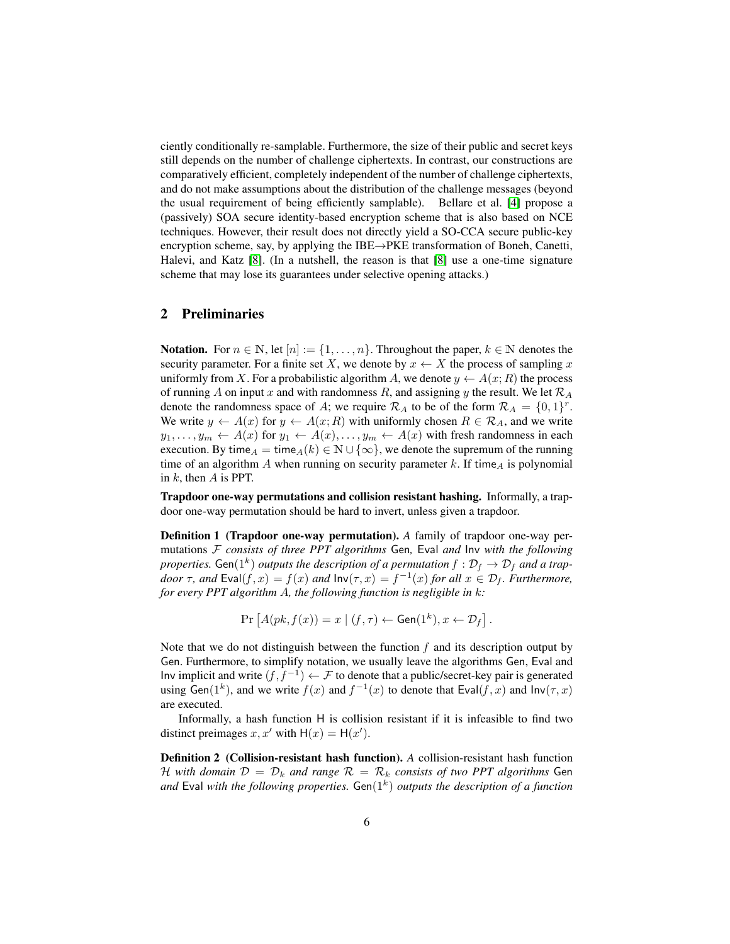ciently conditionally re-samplable. Furthermore, the size of their public and secret keys still depends on the number of challenge ciphertexts. In contrast, our constructions are comparatively efficient, completely independent of the number of challenge ciphertexts, and do not make assumptions about the distribution of the challenge messages (beyond the usual requirement of being efficiently samplable). Bellare et al. [\[4\]](#page-20-3) propose a (passively) SOA secure identity-based encryption scheme that is also based on NCE techniques. However, their result does not directly yield a SO-CCA secure public-key encryption scheme, say, by applying the IBE $\rightarrow$ PKE transformation of Boneh, Canetti, Halevi, and Katz [\[8\]](#page-21-20). (In a nutshell, the reason is that [\[8\]](#page-21-20) use a one-time signature scheme that may lose its guarantees under selective opening attacks.)

## 2 Preliminaries

**Notation.** For  $n \in \mathbb{N}$ , let  $[n] := \{1, \ldots, n\}$ . Throughout the paper,  $k \in \mathbb{N}$  denotes the security parameter. For a finite set X, we denote by  $x \leftarrow X$  the process of sampling x uniformly from X. For a probabilistic algorithm A, we denote  $y \leftarrow A(x; R)$  the process of running A on input x and with randomness R, and assigning y the result. We let  $\mathcal{R}_A$ denote the randomness space of A; we require  $\mathcal{R}_A$  to be of the form  $\mathcal{R}_A = \{0,1\}^r$ . We write  $y \leftarrow A(x)$  for  $y \leftarrow A(x;R)$  with uniformly chosen  $R \in \mathcal{R}_A$ , and we write  $y_1, \ldots, y_m \leftarrow A(x)$  for  $y_1 \leftarrow A(x), \ldots, y_m \leftarrow A(x)$  with fresh randomness in each execution. By time<sub>A</sub> = time<sub>A</sub> $(k) \in \mathbb{N} \cup \{\infty\}$ , we denote the supremum of the running time of an algorithm A when running on security parameter k. If time<sub>A</sub> is polynomial in  $k$ , then  $A$  is PPT.

Trapdoor one-way permutations and collision resistant hashing. Informally, a trapdoor one-way permutation should be hard to invert, unless given a trapdoor.

Definition 1 (Trapdoor one-way permutation). *A* family of trapdoor one-way permutations F *consists of three PPT algorithms* Gen*,* Eval *and* Inv *with the following* properties.  $\mathsf{Gen}(1^k)$  outputs the description of a permutation  $f: \mathcal{D}_f \to \mathcal{D}_f$  and a trap*door*  $\tau$ , and  $\textsf{Eval}(f, x) = f(x)$  and  $\textsf{Inv}(\tau, x) = f^{-1}(x)$  for all  $x \in \mathcal{D}_f$ . Furthermore, *for every PPT algorithm* A*, the following function is negligible in* k*:*

 $\Pr\left[A(pk, f(x)) = x \mid (f, \tau) \leftarrow \mathsf{Gen}(1^k), x \leftarrow \mathcal{D}_f\right].$ 

Note that we do not distinguish between the function  $f$  and its description output by Gen. Furthermore, to simplify notation, we usually leave the algorithms Gen, Eval and Inv implicit and write  $(f, f^{-1}) \leftarrow \mathcal{F}$  to denote that a public/secret-key pair is generated using Gen(1<sup>k</sup>), and we write  $f(x)$  and  $f^{-1}(x)$  to denote that Eval(f, x) and  $Inv(\tau, x)$ are executed.

Informally, a hash function H is collision resistant if it is infeasible to find two distinct preimages  $x, x'$  with  $H(x) = H(x')$ .

Definition 2 (Collision-resistant hash function). *A* collision-resistant hash function H with domain  $D = D_k$  and range  $R = R_k$  consists of two PPT algorithms Gen and Eval with the following properties.  $Gen(1^k)$  outputs the description of a function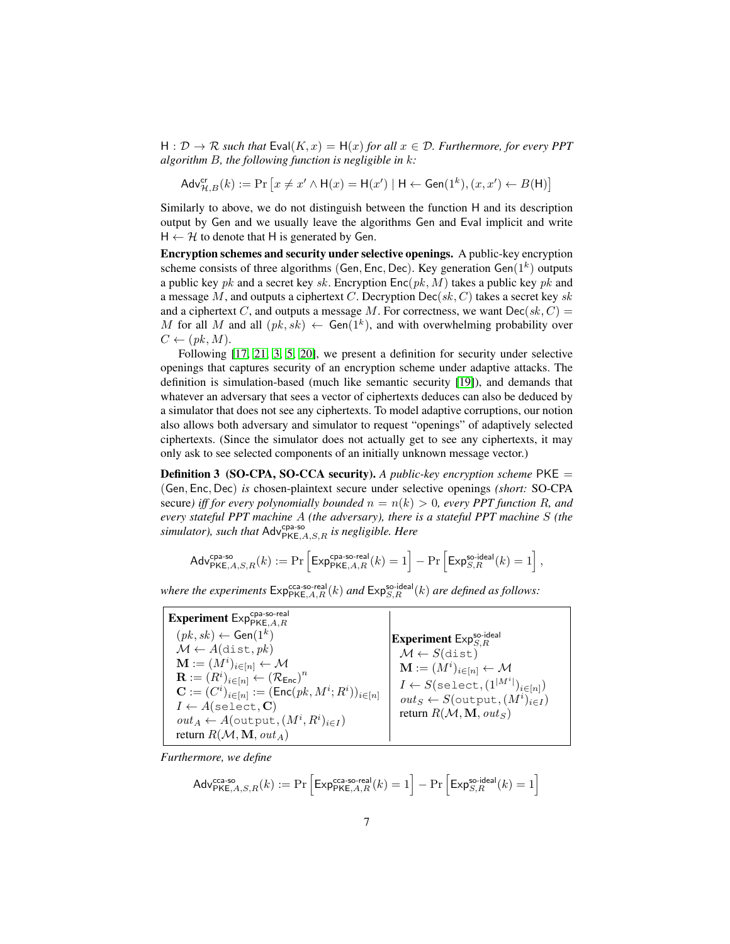$H: \mathcal{D} \to \mathcal{R}$  *such that*  $Eval(K, x) = H(x)$  *for all*  $x \in \mathcal{D}$ *. Furthermore, for every PPT algorithm* B*, the following function is negligible in* k*:*

$$
\mathsf{Adv}^{\mathsf{cr}}_{\mathcal{H},B}(k) := \Pr\left[x \neq x' \land \mathsf{H}(x) = \mathsf{H}(x') \mid \mathsf{H} \leftarrow \mathsf{Gen}(1^k), (x,x') \leftarrow B(\mathsf{H})\right]
$$

Similarly to above, we do not distinguish between the function H and its description output by Gen and we usually leave the algorithms Gen and Eval implicit and write  $H \leftarrow H$  to denote that H is generated by Gen.

Encryption schemes and security under selective openings. A public-key encryption scheme consists of three algorithms (Gen, Enc, Dec). Key generation  $Gen(1<sup>k</sup>)$  outputs a public key pk and a secret key sk. Encryption  $Enc(pk, M)$  takes a public key pk and a message M, and outputs a ciphertext C. Decryption  $Dec(sk, C)$  takes a secret key sk and a ciphertext C, and outputs a message M. For correctness, we want  $Dec(sk, C)$ M for all M and all  $(pk, sk) \leftarrow$  Gen $(1^k)$ , and with overwhelming probability over  $C \leftarrow (pk, M).$ 

Following [\[17,](#page-21-19) [21,](#page-21-8) [3,](#page-20-1) [5,](#page-20-2) [20\]](#page-21-10), we present a definition for security under selective openings that captures security of an encryption scheme under adaptive attacks. The definition is simulation-based (much like semantic security [\[19\]](#page-21-21)), and demands that whatever an adversary that sees a vector of ciphertexts deduces can also be deduced by a simulator that does not see any ciphertexts. To model adaptive corruptions, our notion also allows both adversary and simulator to request "openings" of adaptively selected ciphertexts. (Since the simulator does not actually get to see any ciphertexts, it may only ask to see selected components of an initially unknown message vector.)

Definition 3 (SO-CPA, SO-CCA security). *A public-key encryption scheme* PKE = (Gen, Enc, Dec) *is* chosen-plaintext secure under selective openings *(short:* SO-CPA secure) iff for every polynomially bounded  $n = n(k) > 0$ , every PPT function R, and *every stateful PPT machine* A *(the adversary), there is a stateful PPT machine* S *(the* simulator), such that Adv<sup>cpa-so</sup>, is negligible. Here

<span id="page-6-0"></span>
$$
\mathsf{Adv}_{\mathsf{PKE},A,S,R}^{\mathsf{cpa\text{-}so}}(k) := \Pr\left[\mathsf{Exp}_{\mathsf{PKE},A,R}^{\mathsf{cpa\text{-}so\text{-}real}}(k) = 1\right] - \Pr\left[\mathsf{Exp}_{S,R}^{\mathsf{so\text{-}ideal}}(k) = 1\right],
$$

where the experiments  $\mathsf{Exp}_{\mathsf{PKE},A,R}^{\mathsf{cca}\text{-}\mathsf{so}\text{-}\mathsf{real}}(k)$  *and*  $\mathsf{Exp}_{S,R}^{\mathsf{so}\text{-}\mathsf{ideal}}(k)$  *are defined as follows:* 

| <b>Experiment</b> $Exp_{PKE, A, R}^{cpa-so-real}$                                                                         |                                                                                                                      |
|---------------------------------------------------------------------------------------------------------------------------|----------------------------------------------------------------------------------------------------------------------|
| $(pk, sk) \leftarrow$ Gen $(1^k)$                                                                                         | <b>Experiment</b> $Exp_{S,R}^{\text{so-ideal}}$                                                                      |
| $\mathcal{M} \leftarrow A(\text{dist}, \text{pk})$<br>$\mathbf{M} := (M^i)_{i \in [n]} \leftarrow \mathcal{M}$            | $\mathcal{M} \leftarrow S(\text{dist})$                                                                              |
| $\mathbf{R} := (R^i)_{i \in [n]} \leftarrow (\mathcal{R}_{\mathsf{Enc}})^n$                                               | $\mathbf{M} := (M^i)_{i \in [n]} \leftarrow \mathcal{M}$<br>$I \leftarrow S(\text{select}, (1^{ M^i })_{i \in [n]})$ |
| ${\bf C} := (C^i)_{i \in [n]} := (\textsf{Enc}(pk, M^i; R^i))_{i \in [n]}$<br>$I \leftarrow A(\text{select}, \mathbf{C})$ | $out_S \leftarrow S(output, (M^i)_{i \in I})$                                                                        |
| $out_A \leftarrow A(\text{output}, (M^i, R^i)_{i \in I})$                                                                 | return $R(M, M, out_S)$                                                                                              |
| return $R(M, M, out_A)$                                                                                                   |                                                                                                                      |

*Furthermore, we define*

$$
\mathsf{Adv}_{\mathsf{PKE},A,S,R}^{\mathsf{cca}\text{-}\mathsf{so}}(k) := \Pr\Big[\mathsf{Exp}_{\mathsf{PKE},A,R}^{\mathsf{cca}\text{-}\mathsf{so}\text{-}\mathsf{real}}(k) = 1\Big]-\Pr\Big[\mathsf{Exp}_{S,R}^{\mathsf{so}\text{-}\mathsf{ideal}}(k) = 1\Big]
$$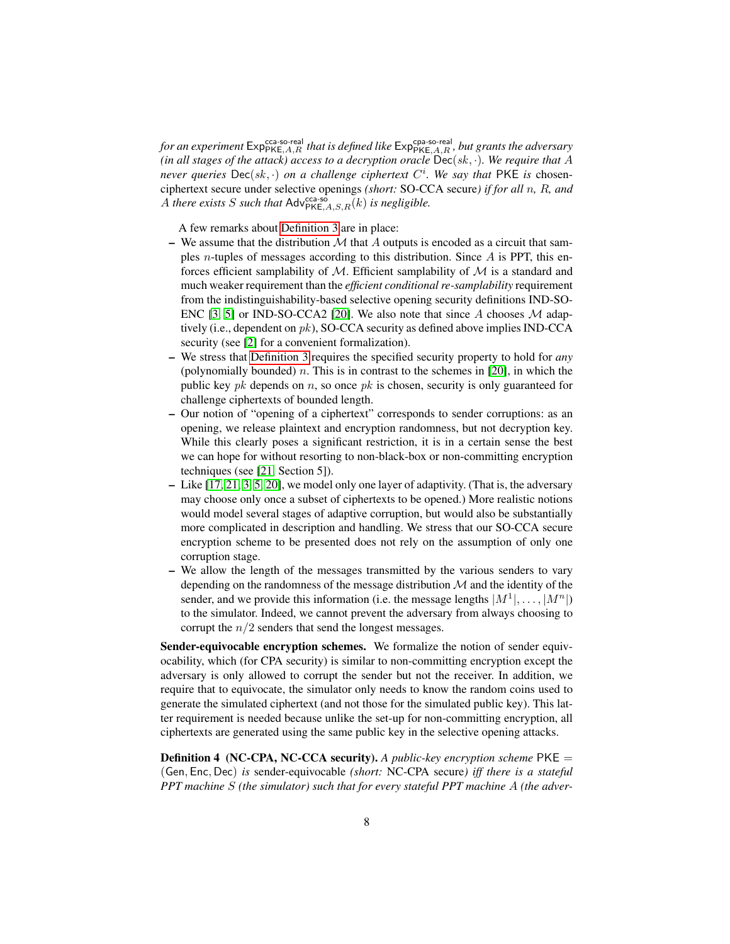*for an experiment* Expcca*-*so*-*real PKE,A,R *that is defined like* Expcpa*-*so*-*real PKE,A,R *, but grants the adversary (in all stages of the attack) access to a decryption oracle*  $Dec(sk, \cdot)$ *. We require that* A *never queries*  $Dec(sk, \cdot)$  *on a challenge ciphertext*  $C<sup>i</sup>$ *. We say that* PKE *is* chosenciphertext secure under selective openings *(short:* SO-CCA secure*) if for all* n*,* R*, and* A *there exists* S such that  $\mathsf{Adv}_{\mathsf{PKE},A,S,R}^{\mathsf{ca}\text{-}\mathsf{so}}(k)$  *is negligible.* 

A few remarks about [Definition 3](#page-6-0) are in place:

- We assume that the distribution  $M$  that  $A$  outputs is encoded as a circuit that samples *n*-tuples of messages according to this distribution. Since  $A$  is PPT, this enforces efficient samplability of  $M$ . Efficient samplability of  $M$  is a standard and much weaker requirement than the *efficient conditional re-samplability* requirement from the indistinguishability-based selective opening security definitions IND-SO-ENC [\[3,](#page-20-1) [5\]](#page-20-2) or IND-SO-CCA2 [\[20\]](#page-21-10). We also note that since A chooses  $\mathcal M$  adaptively (i.e., dependent on pk), SO-CCA security as defined above implies IND-CCA security (see [\[2\]](#page-20-4) for a convenient formalization).
- We stress that [Definition 3](#page-6-0) requires the specified security property to hold for *any* (polynomially bounded) n. This is in contrast to the schemes in [\[20\]](#page-21-10), in which the public key  $pk$  depends on n, so once  $pk$  is chosen, security is only guaranteed for challenge ciphertexts of bounded length.
- Our notion of "opening of a ciphertext" corresponds to sender corruptions: as an opening, we release plaintext and encryption randomness, but not decryption key. While this clearly poses a significant restriction, it is in a certain sense the best we can hope for without resorting to non-black-box or non-committing encryption techniques (see [\[21,](#page-21-8) Section 5]).
- Like [\[17,](#page-21-19) [21,](#page-21-8) [3,](#page-20-1) [5,](#page-20-2) [20\]](#page-21-10), we model only one layer of adaptivity. (That is, the adversary may choose only once a subset of ciphertexts to be opened.) More realistic notions would model several stages of adaptive corruption, but would also be substantially more complicated in description and handling. We stress that our SO-CCA secure encryption scheme to be presented does not rely on the assumption of only one corruption stage.
- We allow the length of the messages transmitted by the various senders to vary depending on the randomness of the message distribution  $\mathcal M$  and the identity of the sender, and we provide this information (i.e. the message lengths  $|M^1|, \ldots, |M^n|$ ) to the simulator. Indeed, we cannot prevent the adversary from always choosing to corrupt the  $n/2$  senders that send the longest messages.

Sender-equivocable encryption schemes. We formalize the notion of sender equivocability, which (for CPA security) is similar to non-committing encryption except the adversary is only allowed to corrupt the sender but not the receiver. In addition, we require that to equivocate, the simulator only needs to know the random coins used to generate the simulated ciphertext (and not those for the simulated public key). This latter requirement is needed because unlike the set-up for non-committing encryption, all ciphertexts are generated using the same public key in the selective opening attacks.

Definition 4 (NC-CPA, NC-CCA security). *A public-key encryption scheme* PKE = (Gen, Enc, Dec) *is* sender-equivocable *(short:* NC-CPA secure*) iff there is a stateful PPT machine* S *(the simulator) such that for every stateful PPT machine* A *(the adver-*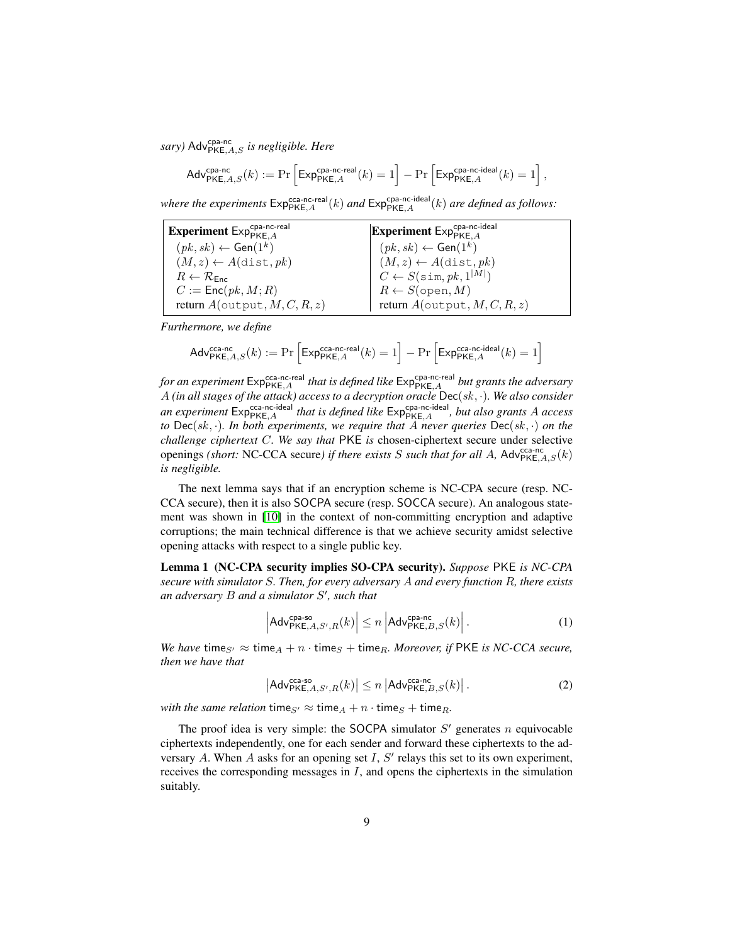*sary)* Advcpa*-*nc PKE,A,S *is negligible. Here*

$$
\mathsf{Adv}_{\mathsf{PKE},A,S}^{\mathsf{cpa-nc}}(k) := \Pr\Big[\mathsf{Exp}_{\mathsf{PKE},A}^{\mathsf{cpa-nc}\text{-real}}(k) = 1\Big] - \Pr\Big[\mathsf{Exp}_{\mathsf{PKE},A}^{\mathsf{cpa-nc}\text{-ideal}}(k) = 1\Big]
$$

,

where the experiments  $\mathsf{Exp}_{\mathsf{PKE},A}^{\mathsf{cca}\text{-}nc\text{-}real}(k)$  and  $\mathsf{Exp}_{\mathsf{PKE},A}^{\mathsf{cpa}\text{-}nc\text{-}ideal}(k)$  are defined as follows:

| <b>Experiment</b> $Exp_{PKE.A}^{cpa-nc-real}$ | <b>Experiment</b> $Exp_{\text{PKE}, A}^{cpa-nc-ideal}$                              |
|-----------------------------------------------|-------------------------------------------------------------------------------------|
| $(pk, sk) \leftarrow Gen(1^k)$                | $(pk, sk) \leftarrow Gen(1^k)$                                                      |
| $(M, z) \leftarrow A(\text{dist}, pk)$        | $(M, z) \leftarrow A(\text{dist}, pk)$<br>$C \leftarrow S(\text{sim}, pk, 1^{ M })$ |
| $R \leftarrow \mathcal{R}_{\mathsf{Enc}}$     |                                                                                     |
| $C := \mathsf{Enc}(pk, M; R)$                 | $R \leftarrow S(\text{open}, M)$                                                    |
| return $A(\text{output}, M, C, R, z)$         | return $A(\text{output}, M, C, R, z)$                                               |

*Furthermore, we define*

$$
\mathsf{Adv}_{\mathsf{PKE},A,S}^{\mathsf{cca-nc}}(k) := \Pr\Big[\mathsf{Exp}_{\mathsf{PKE},A}^{\mathsf{cca-nc}\text{-real}}(k) = 1\Big]-\Pr\Big[\mathsf{Exp}_{\mathsf{PKE},A}^{\mathsf{cca-nc}\text{-ideal}}(k) = 1\Big]
$$

*for an experiment* Expcca*-*nc*-*real PKE,A *that is defined like* Expcpa*-*nc*-*real PKE,A *but grants the adversary* A *(in all stages of the attack) access to a decryption oracle* Dec(sk, ·)*. We also consider* an experiment  $\mathsf{Exp}_{\mathsf{PKE},A}^{\mathsf{cca-nc-ideal}}$  that is defined like  $\mathsf{Exp}_{\mathsf{PKE},A}^{\mathsf{cpa-nc-ideal}}$ , but also grants A access *to*  $Dec(sk, \cdot)$ *. In both experiments, we require that* A *never queries*  $Dec(sk, \cdot)$  *on the challenge ciphertext* C*. We say that* PKE *is* chosen-ciphertext secure under selective openings *(short:* NC-CCA secure) if there exists *S* such that for all *A*,  $\mathsf{Adv}_{\mathsf{PKE},A,S}^{\mathsf{cca-nc}}(k)$ *is negligible.*

The next lemma says that if an encryption scheme is NC-CPA secure (resp. NC-CCA secure), then it is also SOCPA secure (resp. SOCCA secure). An analogous statement was shown in [\[10\]](#page-21-11) in the context of non-committing encryption and adaptive corruptions; the main technical difference is that we achieve security amidst selective opening attacks with respect to a single public key.

<span id="page-8-0"></span>Lemma 1 (NC-CPA security implies SO-CPA security). *Suppose* PKE *is NC-CPA secure with simulator* S*. Then, for every adversary* A *and every function* R*, there exists an adversary* B *and a simulator* S 0 *, such that*

$$
\left| \mathsf{Adv}_{\mathsf{PKE},A,S',R}^{\mathsf{cpa\text{-}so}}(k) \right| \le n \left| \mathsf{Adv}_{\mathsf{PKE},B,S}^{\mathsf{cpa\text{-}nc}}(k) \right|.
$$
 (1)

*We have* time<sub>S'</sub>  $\approx$  time<sub>A</sub> + n · time<sub>S</sub> + time<sub>R</sub>. Moreover, if PKE is NC-CCA secure, *then we have that*

$$
\left|\mathsf{Adv}_{\mathsf{PKE},A,S',R}^{\mathsf{cca}\text{-}\mathsf{so}}(k)\right| \le n \left|\mathsf{Adv}_{\mathsf{PKE},B,S}^{\mathsf{cca}\text{-}\mathsf{nc}}(k)\right|.
$$
 (2)

*with the same relation* time<sub>S'</sub>  $\approx$  time<sub>A</sub> + n · time<sub>S</sub> + time<sub>R</sub>.

The proof idea is very simple: the SOCPA simulator  $S'$  generates  $n$  equivocable ciphertexts independently, one for each sender and forward these ciphertexts to the adversary  $A$ . When  $A$  asks for an opening set  $I$ ,  $S'$  relays this set to its own experiment, receives the corresponding messages in I, and opens the ciphertexts in the simulation suitably.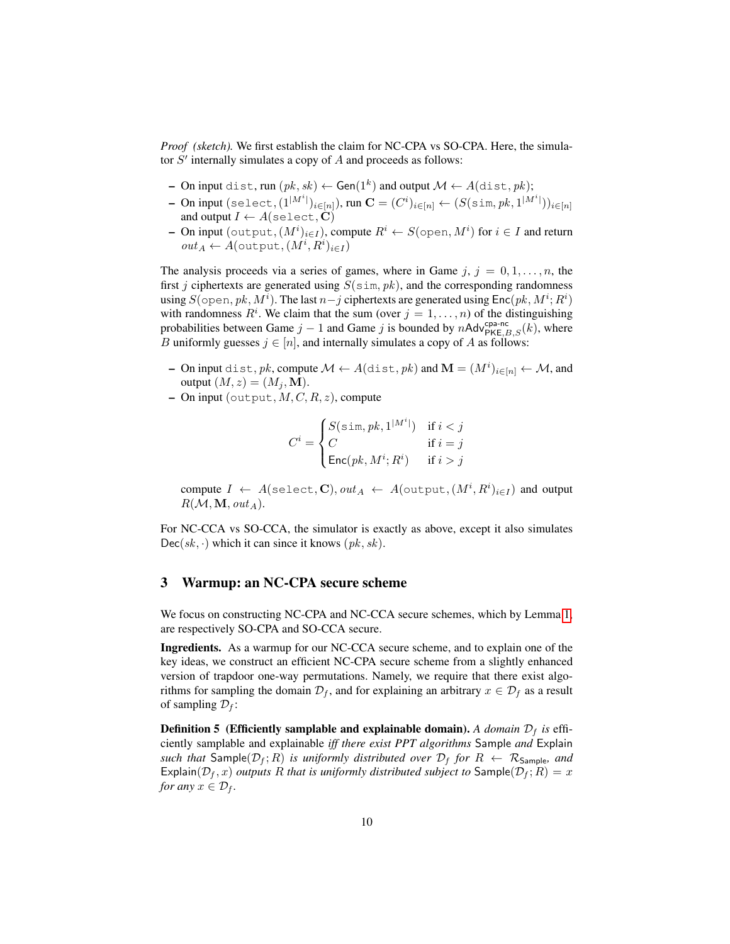*Proof (sketch).* We first establish the claim for NC-CPA vs SO-CPA. Here, the simulator  $S'$  internally simulates a copy of  $A$  and proceeds as follows:

- $-$  On input dist, run  $(pk, sk) \leftarrow$  Gen $(1^k)$  and output  $\mathcal{M} \leftarrow A(\text{dist}, pk);$
- On input  $(\texttt{select},(1^{|M^i|})_{i\in[n]}),$  run  $\mathbf{C}=(C^i)_{i\in[n]} \leftarrow (S(\texttt{sim},pk,1^{|M^i|}))_{i\in[n]}$ and output  $I \leftarrow A(\text{select}, \dot{C})$
- **−** On input  $(\text{output}, (M^i)_{i \in I})$ , compute  $R^i$  ←  $S(\text{open}, M^i)$  for  $i \in I$  and return  $out_A \leftarrow A(\text{output}, (M^i, R^i)_{i \in I})$

The analysis proceeds via a series of games, where in Game  $j, j = 0, 1, \ldots, n$ , the first j ciphertexts are generated using  $S(\sin, pk)$ , and the corresponding randomness using  $S(\text{open}, pk, M^i)$ . The last  $n-j$  ciphertexts are generated using  $\textsf{Enc}(pk, M^i; R^i)$ with randomness  $R^i$ . We claim that the sum (over  $j = 1, ..., n$ ) of the distinguishing probabilities between Game  $j-1$  and Game j is bounded by  $n$ Adv $_{PKE,B,S}^{Cpar}$  (k), where B uniformly guesses  $j \in [n]$ , and internally simulates a copy of A as follows:

- **−** On input dist, pk, compute  $\mathcal{M} \leftarrow A(\text{dist}, pk)$  and  $\mathbf{M} = (M^i)_{i \in [n]} \leftarrow \mathcal{M}$ , and output  $(M, z) = (M_i, M)$ .
- On input (output,  $M, C, R, z$ ), compute

$$
C^i = \begin{cases} S(\sin, pk, 1^{|M^i|}) & \text{if } i < j \\ C & \text{if } i = j \\ \mathsf{Enc}(pk, M^i; R^i) & \text{if } i > j \end{cases}
$$

compute  $I \leftarrow A(\textsf{select},\mathbf{C}), out_A \leftarrow A(\textsf{output},(M^i,R^i)_{i\in I})$  and output  $R(M, M, out_A).$ 

For NC-CCA vs SO-CCA, the simulator is exactly as above, except it also simulates  $Dec(sk, \cdot)$  which it can since it knows  $(pk, sk)$ .

## 3 Warmup: an NC-CPA secure scheme

We focus on constructing NC-CPA and NC-CCA secure schemes, which by Lemma [1,](#page-8-0) are respectively SO-CPA and SO-CCA secure.

Ingredients. As a warmup for our NC-CCA secure scheme, and to explain one of the key ideas, we construct an efficient NC-CPA secure scheme from a slightly enhanced version of trapdoor one-way permutations. Namely, we require that there exist algorithms for sampling the domain  $\mathcal{D}_f$ , and for explaining an arbitrary  $x \in \mathcal{D}_f$  as a result of sampling  $\mathcal{D}_f$ :

<span id="page-9-0"></span>**Definition 5** (Efficiently samplable and explainable domain). A *domain*  $\mathcal{D}_f$  is efficiently samplable and explainable *iff there exist PPT algorithms* Sample *and* Explain  $\mathsf{such\text{ }that}\ \mathsf{Sample}(\mathcal{D}_f; R)$  *is uniformly distributed over*  $\mathcal{D}_f$  *for*  $R \leftarrow \mathcal{R}_{\mathsf{Sample}}$  *and*  $\mathsf{Explain}(\mathcal{D}_f, x)$  *outputs* R that is uniformly distributed subject to  $\mathsf{Sample}(\mathcal{D}_f; R) = x$ *for any*  $x \in \mathcal{D}_f$ .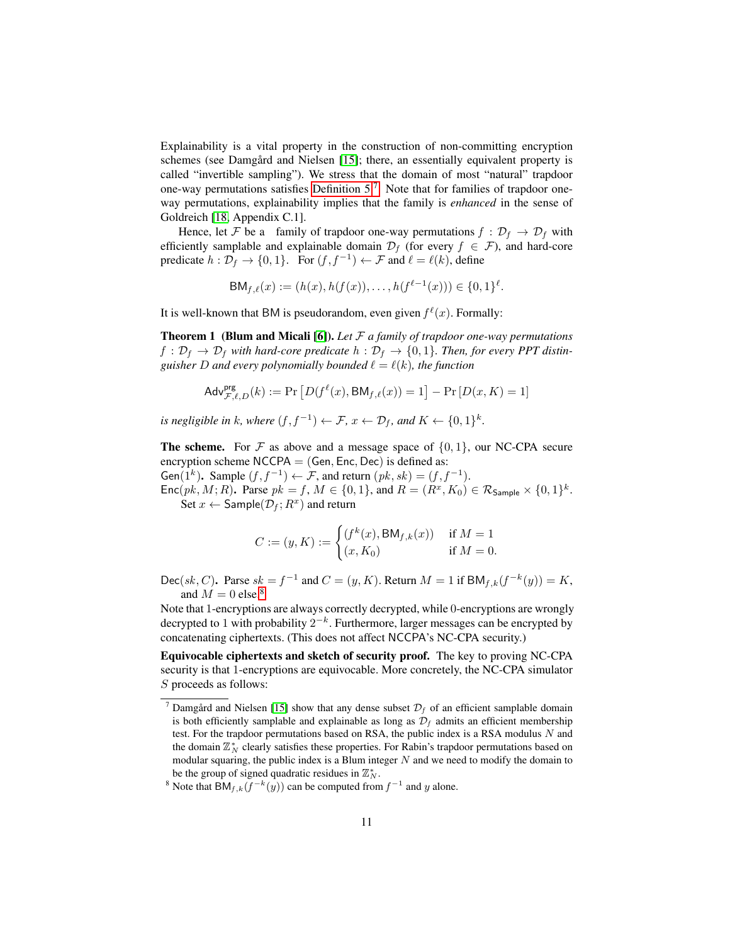Explainability is a vital property in the construction of non-committing encryption schemes (see Damgård and Nielsen  $[15]$ ; there, an essentially equivalent property is called "invertible sampling"). We stress that the domain of most "natural" trapdoor one-way permutations satisfies Definition  $5<sup>7</sup>$  $5<sup>7</sup>$  $5<sup>7</sup>$  Note that for families of trapdoor oneway permutations, explainability implies that the family is *enhanced* in the sense of Goldreich [\[18,](#page-21-22) Appendix C.1].

Hence, let F be a family of trapdoor one-way permutations  $f : \mathcal{D}_f \to \mathcal{D}_f$  with efficiently samplable and explainable domain  $\mathcal{D}_f$  (for every  $f \in \mathcal{F}$ ), and hard-core predicate  $h : \mathcal{D}_f \to \{0, 1\}$ . For  $(f, f^{-1}) \leftarrow \mathcal{F}$  and  $\ell = \ell(k)$ , define

$$
BM_{f,\ell}(x) := (h(x), h(f(x)), \ldots, h(f^{\ell-1}(x))) \in \{0,1\}^{\ell}.
$$

It is well-known that BM is pseudorandom, even given  $f^{\ell}(x)$ . Formally:

Theorem 1 (Blum and Micali [\[6\]](#page-20-5)). *Let* F *a family of trapdoor one-way permutations*  $f: \mathcal{D}_f \to \mathcal{D}_f$  with hard-core predicate  $h: \mathcal{D}_f \to \{0,1\}$ . Then, for every PPT distin*guisher D* and every polynomially bounded  $\ell = \ell(k)$ *, the function* 

$$
\mathsf{Adv}_{\mathcal{F},\ell,D}^{\mathsf{prg}}(k) := \Pr\left[D(f^\ell(x),\mathsf{BM}_{f,\ell}(x)) = 1\right] - \Pr\left[D(x,K) = 1\right]
$$

*is negligible in k, where*  $(f, f^{-1}) \leftarrow \mathcal{F}$ ,  $x \leftarrow \mathcal{D}_f$ *, and*  $K \leftarrow \{0, 1\}^k$ *.* 

**The scheme.** For F as above and a message space of  $\{0, 1\}$ , our NC-CPA secure encryption scheme  $NCCPA = (Gen, Enc, Dec)$  is defined as:

Gen(1<sup>k</sup>). Sample  $(f, f^{-1}) \leftarrow \mathcal{F}$ , and return  $(pk, sk) = (f, f^{-1})$ .  $Enc(pk, M; R)$ . Parse  $pk = f, M \in \{0, 1\}$ , and  $R = (R^x, K_0) \in \mathcal{R}_{Sample} \times \{0, 1\}^k$ . Set  $x \leftarrow$  Sample $(\mathcal{D}_f; R^x)$  and return

$$
C := (y, K) := \begin{cases} (f^{k}(x), \text{BM}_{f,k}(x)) & \text{if } M = 1\\ (x, K_0) & \text{if } M = 0. \end{cases}
$$

Dec(sk, C). Parse  $sk = f^{-1}$  and  $C = (y, K)$ . Return  $M = 1$  if  $BM_{f,k}(f^{-k}(y)) = K$ , and  $M = 0$  else.<sup>[8](#page-10-1)</sup>

Note that 1-encryptions are always correctly decrypted, while 0-encryptions are wrongly decrypted to 1 with probability  $2^{-k}$ . Furthermore, larger messages can be encrypted by concatenating ciphertexts. (This does not affect NCCPA's NC-CPA security.)

Equivocable ciphertexts and sketch of security proof. The key to proving NC-CPA security is that 1-encryptions are equivocable. More concretely, the NC-CPA simulator S proceeds as follows:

<span id="page-10-0"></span><sup>&</sup>lt;sup>7</sup> Damgård and Nielsen [\[15\]](#page-21-12) show that any dense subset  $\mathcal{D}_f$  of an efficient samplable domain is both efficiently samplable and explainable as long as  $\mathcal{D}_f$  admits an efficient membership test. For the trapdoor permutations based on RSA, the public index is a RSA modulus  $N$  and the domain  $\mathbb{Z}_N^*$  clearly satisfies these properties. For Rabin's trapdoor permutations based on modular squaring, the public index is a Blum integer  $N$  and we need to modify the domain to be the group of signed quadratic residues in  $\mathbb{Z}_N^*$ .

<span id="page-10-1"></span><sup>&</sup>lt;sup>8</sup> Note that BM<sub>f,k</sub>( $f^{-k}(y)$ ) can be computed from  $f^{-1}$  and y alone.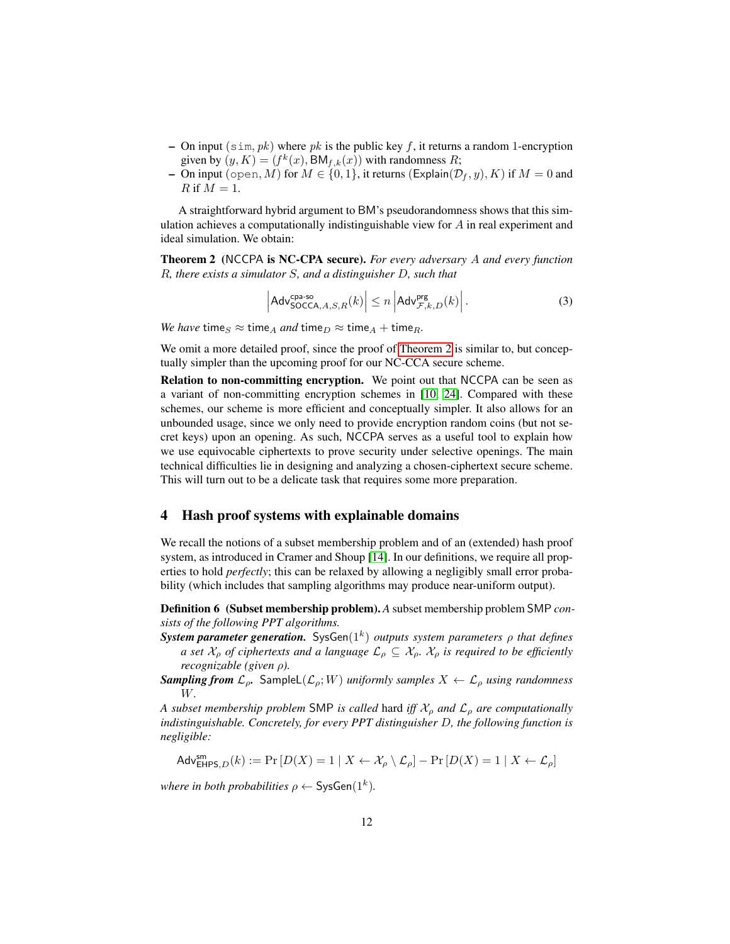- On input (sim,  $pk$ ) where pk is the public key f, it returns a random 1-encryption given by  $(y, K) = (f^k(x), BM_{f,k}(x))$  with randomness R;
- **−** On input (open, *M*) for  $M \in \{0, 1\}$ , it returns (Explain( $\mathcal{D}_f, y$ ), *K*) if  $M = 0$  and R if  $M = 1$ .

A straightforward hybrid argument to BM's pseudorandomness shows that this simulation achieves a computationally indistinguishable view for  $A$  in real experiment and ideal simulation. We obtain:

Theorem 2 (NCCPA is NC-CPA secure). *For every adversary* A *and every function* R*, there exists a simulator* S*, and a distinguisher* D*, such that*

<span id="page-11-0"></span>
$$
\left| \mathsf{Adv}_{\mathsf{SOCCA},A,S,R}^{\mathsf{cpa-so}}(k) \right| \le n \left| \mathsf{Adv}_{\mathcal{F},k,D}^{\mathsf{prg}}(k) \right|.
$$
 (3)

*We have* time<sub>S</sub>  $\approx$  time<sub>A</sub> *and* time<sub>D</sub>  $\approx$  time<sub>A</sub> + time<sub>R</sub>.

We omit a more detailed proof, since the proof of [Theorem 2](#page-11-0) is similar to, but conceptually simpler than the upcoming proof for our NC-CCA secure scheme.

Relation to non-committing encryption. We point out that NCCPA can be seen as a variant of non-committing encryption schemes in [\[10,](#page-21-11) [24\]](#page-21-13). Compared with these schemes, our scheme is more efficient and conceptually simpler. It also allows for an unbounded usage, since we only need to provide encryption random coins (but not secret keys) upon an opening. As such, NCCPA serves as a useful tool to explain how we use equivocable ciphertexts to prove security under selective openings. The main technical difficulties lie in designing and analyzing a chosen-ciphertext secure scheme. This will turn out to be a delicate task that requires some more preparation.

#### 4 Hash proof systems with explainable domains

We recall the notions of a subset membership problem and of an (extended) hash proof system, as introduced in Cramer and Shoup [\[14\]](#page-21-15). In our definitions, we require all properties to hold *perfectly*; this can be relaxed by allowing a negligibly small error probability (which includes that sampling algorithms may produce near-uniform output).

Definition 6 (Subset membership problem). *A* subset membership problem SMP *consists of the following PPT algorithms.*

- **System parameter generation.** SysGen $(1<sup>k</sup>)$  *outputs system parameters*  $\rho$  that defines *a set*  $\mathcal{X}_\rho$  *of ciphertexts and a language*  $\mathcal{L}_\rho \subseteq \mathcal{X}_\rho$ *.*  $\mathcal{X}_\rho$  *is required to be efficiently recognizable (given* ρ*).*
- *Sampling from*  $\mathcal{L}_\rho$ . SampleL $(\mathcal{L}_\rho; W)$  *uniformly samples*  $X \leftarrow \mathcal{L}_\rho$  *using randomness* W*.*

*A subset membership problem* SMP *is called* hard *iff*  $\mathcal{X}_\rho$  *and*  $\mathcal{L}_\rho$  *are computationally indistinguishable. Concretely, for every PPT distinguisher* D*, the following function is negligible:*

 $\mathsf{Adv}^{\mathsf{sm}}_{\mathsf{EHS},D}(k) := \Pr\left[D(X) = 1 \mid X \leftarrow \mathcal{X}_\rho \setminus \mathcal{L}_\rho\right] - \Pr\left[D(X) = 1 \mid X \leftarrow \mathcal{L}_\rho\right]$ 

*where in both probabilities*  $\rho \leftarrow$  SysGen $(1^k)$ .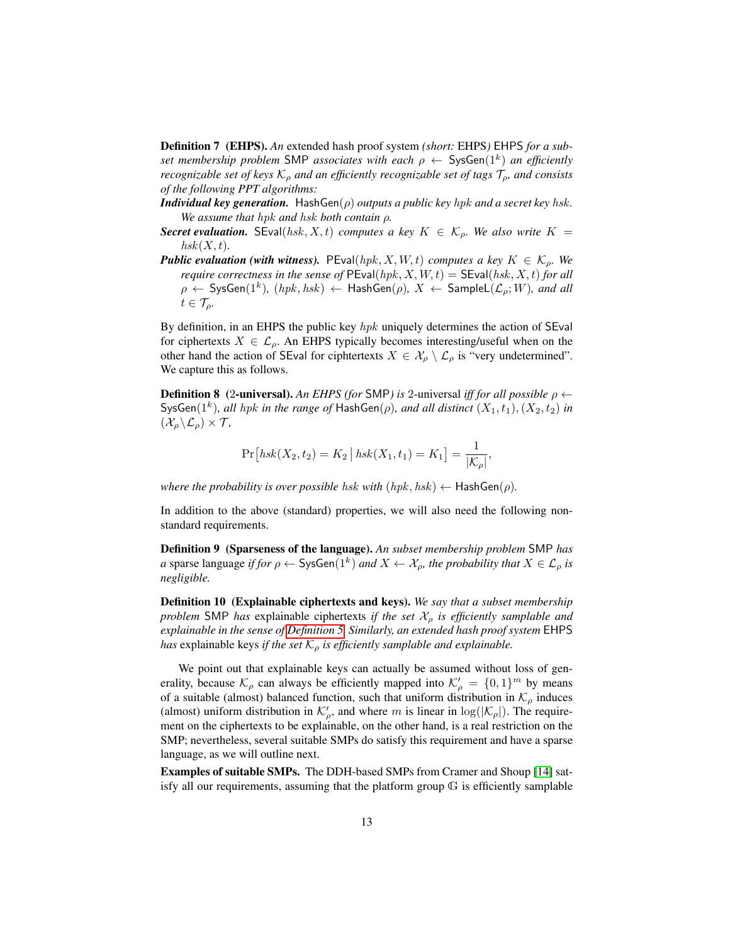Definition 7 (EHPS). *An* extended hash proof system *(short:* EHPS*)* EHPS *for a subset membership problem* SMP *associates with each*  $\rho \leftarrow$  SysGen $(1^k)$  *an efficiently recognizable set of keys*  $K_{\rho}$  *and an efficiently recognizable set of tags*  $\mathcal{T}_{\rho}$ *, and consists of the following PPT algorithms:*

- *Individual key generation.* HashGen( $\rho$ ) *outputs a public key hpk and a secret key hsk. We assume that* hpk *and* hsk *both contain* ρ*.*
- *Secret evaluation.* SEval(hsk, X, t) computes a key  $K \in \mathcal{K}_o$ . We also write  $K =$  $hsk(X, t)$ .
- *Public evaluation (with witness).* PEval(hpk, X, W, t) computes a key  $K \in \mathcal{K}_{\rho}$ . We *require correctness in the sense of*  $PEval(hpk, X, W, t) = SEval(hsk, X, t)$  *for all*  $\rho \leftarrow \mathsf{SysGen}(1^k)$ ,  $(hpk, hsk) \leftarrow \mathsf{HashGen}(\rho)$ ,  $X \leftarrow \mathsf{SampleL}(\mathcal{L}_\rho; W)$ *, and all*  $t \in \mathcal{T}_{\rho}$ .

By definition, in an EHPS the public key hpk uniquely determines the action of SEval for ciphertexts  $X \in \mathcal{L}_{\rho}$ . An EHPS typically becomes interesting/useful when on the other hand the action of SEval for ciphtertexts  $X \in \mathcal{X}_{\rho} \setminus \mathcal{L}_{\rho}$  is "very undetermined". We capture this as follows.

Definition 8 (2-universal). *An EHPS (for* SMP*) is* 2-universal *iff for all possible* ρ ←  $\mathsf{SysGen}(1^k)$ , all hpk in the range of  $\mathsf{HashGen}(\rho)$ , and all distinct  $(X_1,t_1),(X_2,t_2)$  in  $(\mathcal{X}_{\rho}\backslash\mathcal{L}_{\rho})\times\mathcal{T}$ ,

$$
Pr[hsk(X_2, t_2) = K_2 | hsk(X_1, t_1) = K_1] = \frac{1}{|\mathcal{K}_{\rho}|},
$$

*where the probability is over possible hsk with*  $(hpk, hsk) \leftarrow$  HashGen $(\rho)$ *.* 

In addition to the above (standard) properties, we will also need the following nonstandard requirements.

<span id="page-12-0"></span>Definition 9 (Sparseness of the language). *An subset membership problem* SMP *has a* sparse language *if for*  $\rho \leftarrow$  SysGen $(1^k)$  *and*  $X \leftarrow X_\rho$ *, the probability that*  $X \in \mathcal{L}_\rho$  *is negligible.*

<span id="page-12-1"></span>Definition 10 (Explainable ciphertexts and keys). *We say that a subset membership problem* SMP *has* explainable ciphertexts *if the set*  $\mathcal{X}_{\rho}$  *is efficiently samplable and explainable in the sense of [Definition 5.](#page-9-0) Similarly, an extended hash proof system* EHPS *has* explainable keys *if the set*  $K_p$  *is efficiently samplable and explainable.* 

We point out that explainable keys can actually be assumed without loss of generality, because  $\mathcal{K}_{\rho}$  can always be efficiently mapped into  $\mathcal{K}'_{\rho} = \{0,1\}^m$  by means of a suitable (almost) balanced function, such that uniform distribution in  $\mathcal{K}_{\rho}$  induces (almost) uniform distribution in  $\mathcal{K}'_{\rho}$ , and where m is linear in  $\log(|\mathcal{K}_{\rho}|)$ . The requirement on the ciphertexts to be explainable, on the other hand, is a real restriction on the SMP; nevertheless, several suitable SMPs do satisfy this requirement and have a sparse language, as we will outline next.

Examples of suitable SMPs. The DDH-based SMPs from Cramer and Shoup [\[14\]](#page-21-15) satisfy all our requirements, assuming that the platform group G is efficiently samplable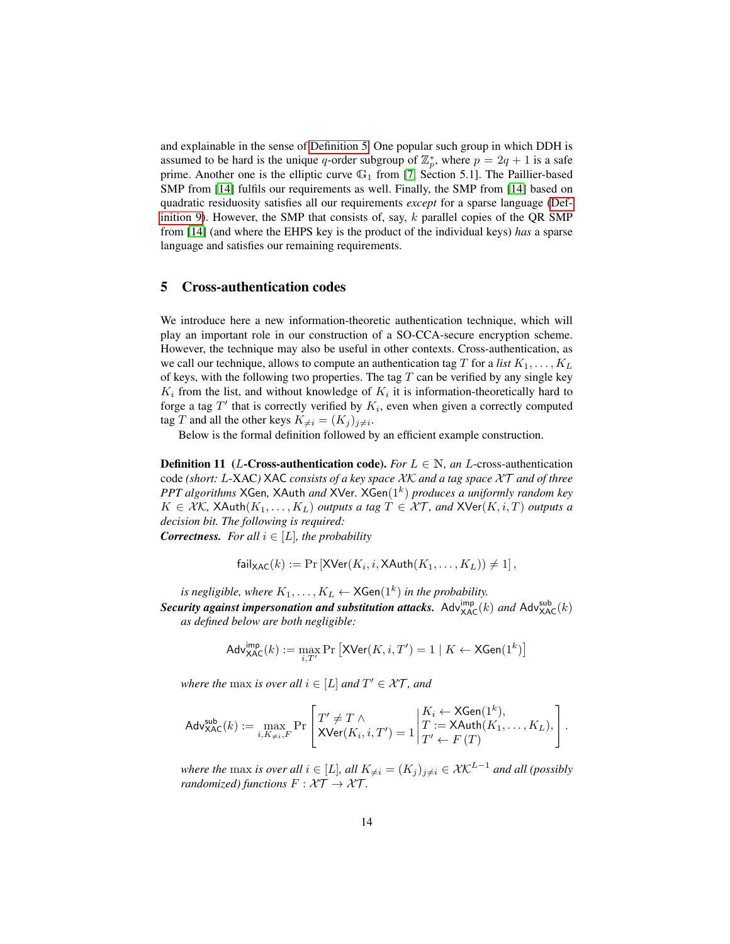and explainable in the sense of [Definition 5.](#page-9-0) One popular such group in which DDH is assumed to be hard is the unique q-order subgroup of  $\mathbb{Z}_p^*$ , where  $p = 2q + 1$  is a safe prime. Another one is the elliptic curve  $\mathbb{G}_1$  from [\[7,](#page-20-6) Section 5.1]. The Paillier-based SMP from [\[14\]](#page-21-15) fulfils our requirements as well. Finally, the SMP from [\[14\]](#page-21-15) based on quadratic residuosity satisfies all our requirements *except* for a sparse language [\(Def](#page-12-0)[inition 9\)](#page-12-0). However, the SMP that consists of, say,  $k$  parallel copies of the QR SMP from [\[14\]](#page-21-15) (and where the EHPS key is the product of the individual keys) *has* a sparse language and satisfies our remaining requirements.

### 5 Cross-authentication codes

We introduce here a new information-theoretic authentication technique, which will play an important role in our construction of a SO-CCA-secure encryption scheme. However, the technique may also be useful in other contexts. Cross-authentication, as we call our technique, allows to compute an authentication tag T for a *list*  $K_1, \ldots, K_L$ of keys, with the following two properties. The tag  $T$  can be verified by any single key  $K_i$  from the list, and without knowledge of  $K_i$  it is information-theoretically hard to forge a tag  $T'$  that is correctly verified by  $K_i$ , even when given a correctly computed tag T and all the other keys  $K_{\neq i} = (K_j)_{j \neq i}$ .

Below is the formal definition followed by an efficient example construction.

<span id="page-13-0"></span>**Definition 11** ( $L$ -Cross-authentication code). *For*  $L \in \mathbb{N}$ , an  $L$ -cross-authentication code *(short:* L-XAC*)* XAC *consists of a key space* XK *and a tag space* XT *and of three PPT algorithms* XGen*,* XAuth *and* XVer*.* XGen(1<sup>k</sup> ) *produces a uniformly random key*  $K \in \mathcal{X}K$ ,  $\mathsf{X}\mathsf{Auth}(K_1,\ldots,K_L)$  *outputs a tag*  $T \in \mathcal{X}T$ *, and*  $\mathsf{X}\mathsf{Ver}(K,i,T)$  *outputs a decision bit. The following is required:*

*Correctness. For all*  $i \in [L]$ *, the probability* 

$$
\mathsf{fail}_{\mathsf{XAC}}(k) := \Pr\left[\mathsf{XVer}(K_i, i, \mathsf{XAuth}(K_1, \ldots, K_L)) \neq 1\right],
$$

is negligible, where  $K_1, \ldots, K_L \leftarrow \mathsf{XGen}(1^k)$  in the probability.

Security against impersonation and substitution attacks.  $\mathsf{Adv}_{\mathsf{XAC}}^{\mathsf{imp}}(k)$  and  $\mathsf{Adv}_{\mathsf{XAC}}^{\mathsf{sub}}(k)$ *as defined below are both negligible:*

$$
\mathsf{Adv}_{\mathsf{XAC}}^{\mathsf{imp}}(k) := \max_{i, T'} \Pr\left[\mathsf{XVer}(K, i, T') = 1 \mid K \leftarrow \mathsf{XGen}(1^k)\right]
$$

*where the* max *is over all*  $i \in [L]$  *and*  $T' \in \mathcal{X}T$ *, and* 

$$
\mathsf{Adv}^{\mathsf{sub}}_{\mathsf{XAC}}(k) := \max_{i, K_{\neq i}, F} \Pr\left[\begin{matrix} T' \neq T \land \\ \mathsf{XVer}(K_i, i, T') = 1 \end{matrix}\bigg| \begin{matrix} K_i \leftarrow \mathsf{XGen}(1^k), \\ T := \mathsf{XAuth}(K_1, \ldots, K_L), \\ T' \leftarrow F\left(T\right) \end{matrix}\right].\right.
$$

*where the max is over all*  $i \in [L]$ *, all*  $K_{\neq i} = (K_j)_{j \neq i} \in \mathcal{XK}^{L-1}$  and all (possibly *randomized)* functions  $F : \mathcal{X} \mathcal{T} \rightarrow \mathcal{X} \mathcal{T}$ .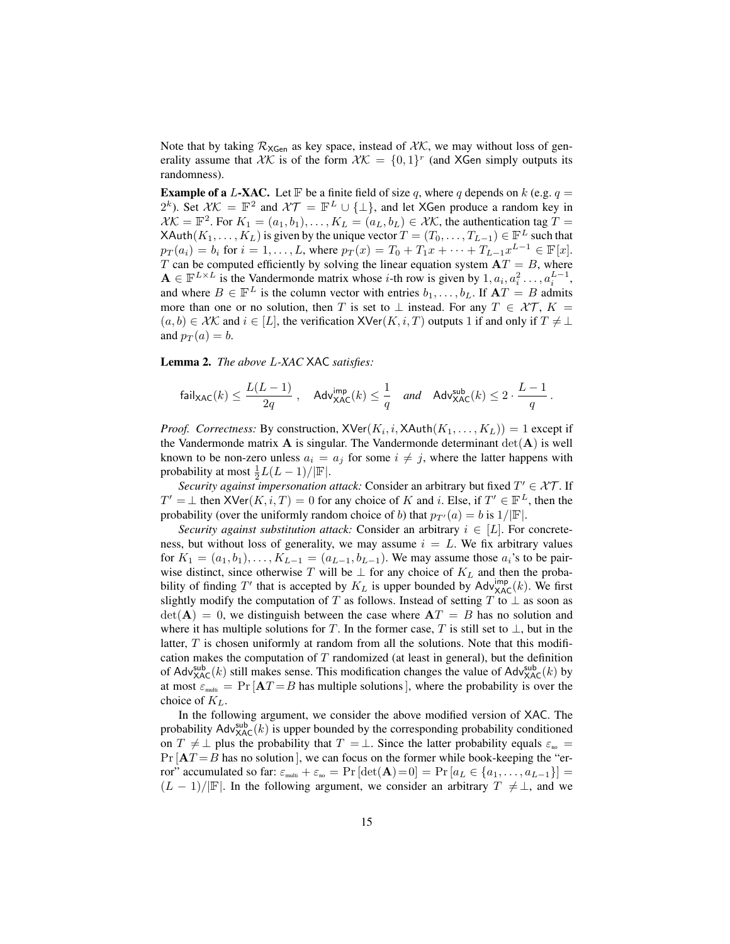Note that by taking  $\mathcal{R}_{XGen}$  as key space, instead of  $X\mathcal{K}$ , we may without loss of generality assume that  $XK$  is of the form  $XK = \{0,1\}^r$  (and XGen simply outputs its randomness).

**Example of a L-XAC.** Let F be a finite field of size q, where q depends on k (e.g.  $q =$ 2<sup>k</sup>). Set  $XK = \mathbb{F}^2$  and  $X\mathcal{T} = \mathbb{F}^L \cup \{\perp\}$ , and let XGen produce a random key in  $\mathcal{X} \mathcal{K} = \mathbb{F}^2$ . For  $K_1 = (a_1, b_1), \dots, K_L = (a_L, b_L) \in \mathcal{X} \mathcal{K}$ , the authentication tag  $T =$ XAuth $(K_1, \ldots, K_L)$  is given by the unique vector  $T = (T_0, \ldots, T_{L-1}) \in \mathbb{F}^L$  such that  $p_T(a_i) = b_i$  for  $i = 1, ..., L$ , where  $p_T(x) = T_0 + T_1x + ... + T_{L-1}x^{L-1} \in \mathbb{F}[x]$ . T can be computed efficiently by solving the linear equation system  $AT = B$ , where  $A \in \mathbb{F}^{L \times L}$  is the Vandermonde matrix whose *i*-th row is given by  $1, a_i, a_i^2, \ldots, a_i^{L-1}$ , and where  $B \in \mathbb{F}^L$  is the column vector with entries  $b_1, \ldots, b_L$ . If  $AT = B$  admits more than one or no solution, then T is set to  $\perp$  instead. For any  $T \in \mathcal{HT}$ ,  $K =$  $(a, b) \in \mathcal{X} \mathcal{K}$  and  $i \in [L]$ , the verification  $X \text{Ver}(K, i, T)$  outputs 1 if and only if  $T \neq \perp$ and  $p_T(a) = b$ .

Lemma 2. *The above* L*-XAC* XAC *satisfies:*

$$
\mathsf{fail}_{\mathsf{XAC}}(k) \leq \frac{L(L-1)}{2q} \ , \quad \mathsf{Adv}_{\mathsf{XAC}}^{\mathsf{imp}}(k) \leq \frac{1}{q} \quad \text{and} \quad \mathsf{Adv}_{\mathsf{XAC}}^{\mathsf{sub}}(k) \leq 2 \cdot \frac{L-1}{q} \ .
$$

*Proof. Correctness:* By construction,  $X\text{Ver}(K_i, i, \text{X}(A\text{uth}(K_1, \ldots, K_L)) = 1$  except if the Vandermonde matrix  $\bf{A}$  is singular. The Vandermonde determinant  $\det(\bf{A})$  is well known to be non-zero unless  $a_i = a_j$  for some  $i \neq j$ , where the latter happens with probability at most  $\frac{1}{2}L(L-1)/|\mathbb{F}|$ .

*Security against impersonation attack:* Consider an arbitrary but fixed  $T' \in \mathcal{XT}$ . If  $T' = \bot$  then  $X\text{Ver}(K, i, T) = 0$  for any choice of K and i. Else, if  $T' \in \mathbb{F}^L$ , then the probability (over the uniformly random choice of b) that  $p_{T}(a) = b$  is  $1/|\mathbb{F}|$ .

*Security against substitution attack:* Consider an arbitrary  $i \in [L]$ . For concreteness, but without loss of generality, we may assume  $i = L$ . We fix arbitrary values for  $K_1 = (a_1, b_1), \ldots, K_{L-1} = (a_{L-1}, b_{L-1})$ . We may assume those  $a_i$ 's to be pairwise distinct, since otherwise T will be  $\perp$  for any choice of  $K_L$  and then the probability of finding T' that is accepted by  $K_L$  is upper bounded by Adv $_{XAC}^{imp}(k)$ . We first slightly modify the computation of T as follows. Instead of setting T to  $\perp$  as soon as  $det(\mathbf{A}) = 0$ , we distinguish between the case where  $\mathbf{A}T = B$  has no solution and where it has multiple solutions for T. In the former case, T is still set to  $\perp$ , but in the latter,  $T$  is chosen uniformly at random from all the solutions. Note that this modification makes the computation of  $T$  randomized (at least in general), but the definition of Adv $_{XAC}^{sub}(k)$  still makes sense. This modification changes the value of Adv $_{XAC}^{sub}(k)$  by at most  $\varepsilon_{\text{multi}} = \Pr[\mathbf{A}T = B]$  has multiple solutions, where the probability is over the choice of  $K_L$ .

In the following argument, we consider the above modified version of XAC. The probability  $\mathsf{Adv}_{\mathsf{XAC}}^{\mathsf{sub}}(k)$  is upper bounded by the corresponding probability conditioned on  $T \neq \perp$  plus the probability that  $T = \perp$ . Since the latter probability equals  $\varepsilon_{\text{no}} =$  $Pr[AT = B$  has no solution, we can focus on the former while book-keeping the "error" accumulated so far:  $\varepsilon_{mult} + \varepsilon_{no} = \Pr[\det(\mathbf{A}) = 0] = \Pr[a_L \in \{a_1, \ldots, a_{L-1}\}] =$  $(L - 1)/|\mathbb{F}|$ . In the following argument, we consider an arbitrary  $T \neq \perp$ , and we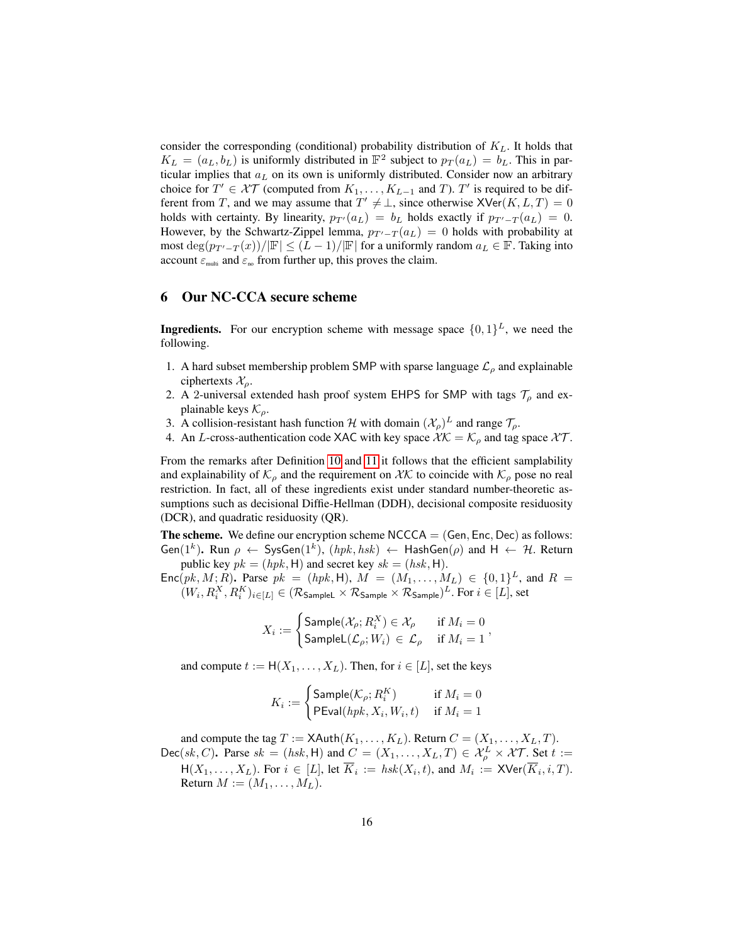consider the corresponding (conditional) probability distribution of  $K_L$ . It holds that  $K_L = (a_L, b_L)$  is uniformly distributed in  $\mathbb{F}^2$  subject to  $p_T(a_L) = b_L$ . This in particular implies that  $a<sub>L</sub>$  on its own is uniformly distributed. Consider now an arbitrary choice for  $T' \in \mathcal{KT}$  (computed from  $K_1, \ldots, K_{L-1}$  and  $T$ ).  $T'$  is required to be different from T, and we may assume that  $T' \neq \perp$ , since otherwise XVer $(K, L, T) = 0$ holds with certainty. By linearity,  $p_{T}(a_L) = b_L$  holds exactly if  $p_{T'-T}(a_L) = 0$ . However, by the Schwartz-Zippel lemma,  $p_{T'-T}(a_L) = 0$  holds with probability at most deg $(p_{T'-T}(x))/|\mathbb{F}| \leq (L-1)/|\mathbb{F}|$  for a uniformly random  $a_L \in \mathbb{F}$ . Taking into account  $\varepsilon_{multi}$  and  $\varepsilon_{no}$  from further up, this proves the claim.

# <span id="page-15-0"></span>6 Our NC-CCA secure scheme

**Ingredients.** For our encryption scheme with message space  $\{0,1\}^L$ , we need the following.

- 1. A hard subset membership problem SMP with sparse language  $\mathcal{L}_{\rho}$  and explainable ciphertexts  $\mathcal{X}_o$ .
- 2. A 2-universal extended hash proof system EHPS for SMP with tags  $\mathcal{T}_{\rho}$  and explainable keys  $\mathcal{K}_{\rho}$ .
- 3. A collision-resistant hash function H with domain  $(\mathcal{X}_{\rho})^L$  and range  $\mathcal{T}_{\rho}$ .
- 4. An *L*-cross-authentication code XAC with key space  $XK = K_\rho$  and tag space  $X\mathcal{T}$ .

From the remarks after Definition [10](#page-12-1) and [11](#page-13-0) it follows that the efficient samplability and explainability of  $K_{\rho}$  and the requirement on  $XK$  to coincide with  $K_{\rho}$  pose no real restriction. In fact, all of these ingredients exist under standard number-theoretic assumptions such as decisional Diffie-Hellman (DDH), decisional composite residuosity (DCR), and quadratic residuosity (QR).

**The scheme.** We define our encryption scheme  $NCCCA = (Gen, Enc, Dec)$  as follows: Gen(1<sup>k</sup>). Run  $\rho \leftarrow$  SysGen(1<sup>k</sup>),  $(hpk, hsk) \leftarrow$  HashGen( $\rho$ ) and H  $\leftarrow$  H. Return public key  $pk = (hpk, H)$  and secret key  $sk = (hsk, H)$ .

 $Enc(pk, M; R)$ . Parse  $pk = (hpk, H)$ ,  $M = (M_1, ..., M_L) \in \{0, 1\}^L$ , and  $R =$  $(W_i, R_i^X, R_i^K)_{i \in [L]} \in (\mathcal{R}_{\sf Sample} \times \mathcal{R}_{\sf Sample} \times \mathcal{R}_{\sf Sample})^L$ . For  $i \in [L],$  set

$$
X_i := \begin{cases} \textsf{Sample}(\mathcal{X}_\rho; R_i^X) \in \mathcal{X}_\rho & \text{if } M_i = 0 \\ \textsf{SampleL}(\mathcal{L}_\rho; W_i) \in \mathcal{L}_\rho & \text{if } M_i = 1 \end{cases},
$$

and compute  $t := H(X_1, \ldots, X_L)$ . Then, for  $i \in [L]$ , set the keys

$$
K_i := \begin{cases} \mathsf{Sample}(\mathcal{K}_\rho; R_i^K) & \text{if } M_i = 0 \\ \mathsf{PEval}(hpk, X_i, W_i, t) & \text{if } M_i = 1 \end{cases}
$$

and compute the tag  $T := \mathsf{X} \mathsf{Auth}(K_1, \ldots, K_L)$ . Return  $C = (X_1, \ldots, X_L, T)$ . Dec(sk, C). Parse sk = (hsk, H) and  $C = (X_1, \ldots, X_L, T) \in \mathcal{X}_{\rho}^L \times \mathcal{X} \mathcal{T}$ . Set  $t :=$  $H(X_1, \ldots, X_L)$ . For  $i \in [L]$ , let  $K_i := \text{hsk}(X_i, t)$ , and  $M_i := \text{XVer}(K_i, i, T)$ . Return  $M := (M_1, \ldots, M_L).$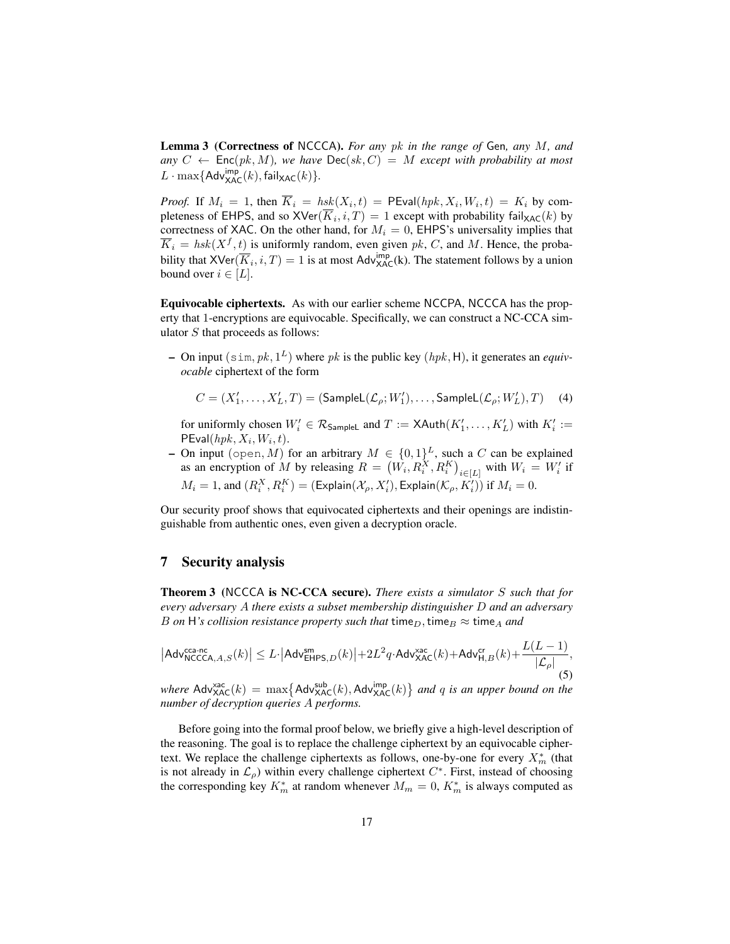Lemma 3 (Correctness of NCCCA). *For any* pk *in the range of* Gen*, any* M*, and any*  $C \leftarrow \text{Enc}(pk, M)$ *, we have*  $\text{Dec}(sk, C) = M$  *except with probability at most*  $L \cdot \max\{\mathsf{Adv}_{\mathsf{XAC}}^{\mathsf{imp}}(k), \mathsf{fail}_{\mathsf{XAC}}(k)\}.$ 

*Proof.* If  $M_i = 1$ , then  $K_i = \text{hsk}(X_i, t) = \text{PEval}(\text{hpk}, X_i, W_i, t) = K_i$  by completeness of EHPS, and so  $X\text{Ver}(K_i, i, T) = 1$  except with probability fail<sub>XAC</sub>(k) by correctness of XAC. On the other hand, for  $M_i = 0$ , EHPS's universality implies that  $\overline{K}_i = \text{hsk}(X^f, t)$  is uniformly random, even given  $pk$ , C, and M. Hence, the probability that  $XVer(\overline{K}_i, i, T) = 1$  is at most Adv<sup>imp</sup><sub>XAC</sub>(k). The statement follows by a union bound over  $i \in [L]$ .

Equivocable ciphertexts. As with our earlier scheme NCCPA, NCCCA has the property that 1-encryptions are equivocable. Specifically, we can construct a NC-CCA simulator  $S$  that proceeds as follows:

 $\sim$  On input (sim, pk, 1<sup>L</sup>) where pk is the public key (hpk, H), it generates an *equivocable* ciphertext of the form

<span id="page-16-0"></span>
$$
C = (X'_1, \dots, X'_L, T) = (\mathsf{SampleL}(\mathcal{L}_{\rho}; W'_1), \dots, \mathsf{SampleL}(\mathcal{L}_{\rho}; W'_L), T) \tag{4}
$$

for uniformly chosen  $W'_i \in \mathcal{R}_{SampleL}$  and  $T := X \text{Auth}(K'_1, \ldots, K'_L)$  with  $K'_i :=$  $PEval(hpk, X_i, W_i, t).$ 

- On input (open, M) for an arbitrary  $M \in \{0,1\}^L$ , such a C can be explained as an encryption of M by releasing  $R = (W_i, R_i^X, R_i^K)_{i \in [L]}$  with  $W_i = W'_i$  if  $M_i=1$ , and  $(R_i^X, R_i^K)=(\mathsf{Explain}(\mathcal{X}_{\rho}, X_i'), \mathsf{Explain}(\mathcal{K}_{\rho}, K_i'))$  if  $M_i=0.$ 

Our security proof shows that equivocated ciphertexts and their openings are indistinguishable from authentic ones, even given a decryption oracle.

## 7 Security analysis

Theorem 3 (NCCCA is NC-CCA secure). *There exists a simulator* S *such that for every adversary* A *there exists a subset membership distinguisher* D *and an adversary B on* H's collision resistance property such that  $time_D, time_B \approx time_A$  and

$$
\left|\mathsf{Adv}_{\mathsf{NCCCA},A,S}^{\mathsf{cca-nc}}(k)\right|\leq L\cdot\left|\mathsf{Adv}_{\mathsf{EHPS},D}^{\mathsf{sm}}(k)\right|+2L^{2}q\cdot\mathsf{Adv}_{\mathsf{XAC}}^{\mathsf{vac}}(k)+\mathsf{Adv}_{\mathsf{H},B}^{\mathsf{cr}}(k)+\frac{L(L-1)}{|\mathcal{L}_{\rho}|},
$$
\n(5)

where  $\text{Adv}_{\text{XAC}}^{\text{vac}}(k) = \max \{ \text{Adv}_{\text{XAC}}^{\text{sub}}(k), \text{Adv}_{\text{XAC}}^{\text{imp}}(k) \}$  and q is an upper bound on the *number of decryption queries* A *performs.*

Before going into the formal proof below, we briefly give a high-level description of the reasoning. The goal is to replace the challenge ciphertext by an equivocable ciphertext. We replace the challenge ciphertexts as follows, one-by-one for every  $X_m^*$  (that is not already in  $\mathcal{L}_{\rho}$ ) within every challenge ciphertext  $C^*$ . First, instead of choosing the corresponding key  $K_m^*$  at random whenever  $M_m = 0$ ,  $K_m^*$  is always computed as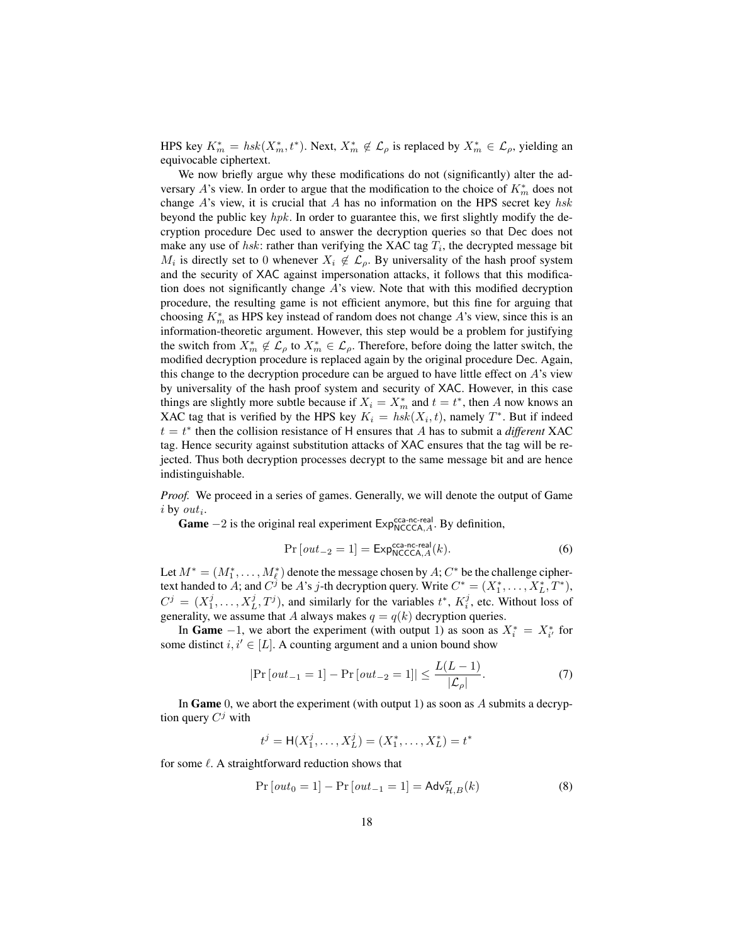HPS key  $K_m^* = \text{hsk}(X_m^*, t^*)$ . Next,  $X_m^* \notin \mathcal{L}_{\rho}$  is replaced by  $X_m^* \in \mathcal{L}_{\rho}$ , yielding an equivocable ciphertext.

We now briefly argue why these modifications do not (significantly) alter the adversary A's view. In order to argue that the modification to the choice of  $K_m^*$  does not change  $A$ 's view, it is crucial that  $A$  has no information on the HPS secret key  $hsk$ beyond the public key  $hpk$ . In order to guarantee this, we first slightly modify the decryption procedure Dec used to answer the decryption queries so that Dec does not make any use of  $\hbar s k$ : rather than verifying the XAC tag  $T_i$ , the decrypted message bit  $M_i$  is directly set to 0 whenever  $X_i \notin \mathcal{L}_\rho$ . By universality of the hash proof system and the security of XAC against impersonation attacks, it follows that this modification does not significantly change A's view. Note that with this modified decryption procedure, the resulting game is not efficient anymore, but this fine for arguing that choosing  $K_m^*$  as HPS key instead of random does not change A's view, since this is an information-theoretic argument. However, this step would be a problem for justifying the switch from  $X_m^* \notin \mathcal{L}_{\rho}$  to  $X_m^* \in \mathcal{L}_{\rho}$ . Therefore, before doing the latter switch, the modified decryption procedure is replaced again by the original procedure Dec. Again, this change to the decryption procedure can be argued to have little effect on  $A$ 's view by universality of the hash proof system and security of XAC. However, in this case things are slightly more subtle because if  $X_i = X_m^*$  and  $t = t^*$ , then A now knows an XAC tag that is verified by the HPS key  $K_i = \frac{h s k(X_i, t)}{h}$ , namely  $T^*$ . But if indeed  $t = t^*$  then the collision resistance of H ensures that A has to submit a *different* XAC tag. Hence security against substitution attacks of XAC ensures that the tag will be rejected. Thus both decryption processes decrypt to the same message bit and are hence indistinguishable.

*Proof.* We proceed in a series of games. Generally, we will denote the output of Game  $i$  by  $out_i$ .

**Game**  $-2$  is the original real experiment  $Exp_{NCCCA, A}^{cca-nc-real}$ . By definition,

<span id="page-17-0"></span>
$$
\Pr\left[out_{-2} = 1\right] = \text{Exp}_{NCCCA,A}^{\text{cca-nc-real}}(k). \tag{6}
$$

Let  $M^* = (M_1^*, \ldots, M_\ell^*)$  denote the message chosen by  $A; C^*$  be the challenge ciphertext handed to A; and  $C^{\bar{j}}$  be A's j-th decryption query. Write  $C^* = (X_1^*, \ldots, X_L^*, T^*)$ ,  $C^j = (X_1^j, \dots, X_L^j, T^j)$ , and similarly for the variables  $t^*, K_i^j$ , etc. Without loss of generality, we assume that A always makes  $q = q(k)$  decryption queries.

In Game  $-1$ , we abort the experiment (with output 1) as soon as  $X_i^* = X_{i'}^*$  for some distinct  $i, i' \in [L]$ . A counting argument and a union bound show

<span id="page-17-1"></span>
$$
|\Pr\left[out_{-1} = 1\right] - \Pr\left[out_{-2} = 1\right]| \le \frac{L(L-1)}{|\mathcal{L}_{\rho}|}.\tag{7}
$$

In Game 0, we abort the experiment (with output 1) as soon as  $\tilde{A}$  submits a decryption query  $C^j$  with

$$
t^j = \mathsf{H}(X_1^j, \dots, X_L^j) = (X_1^*, \dots, X_L^*) = t^*
$$

for some  $\ell$ . A straightforward reduction shows that

<span id="page-17-2"></span>
$$
Pr\left[out_0 = 1\right] - Pr\left[out_{-1} = 1\right] = Adv_{\mathcal{H},B}^{cr}(k)
$$
\n(8)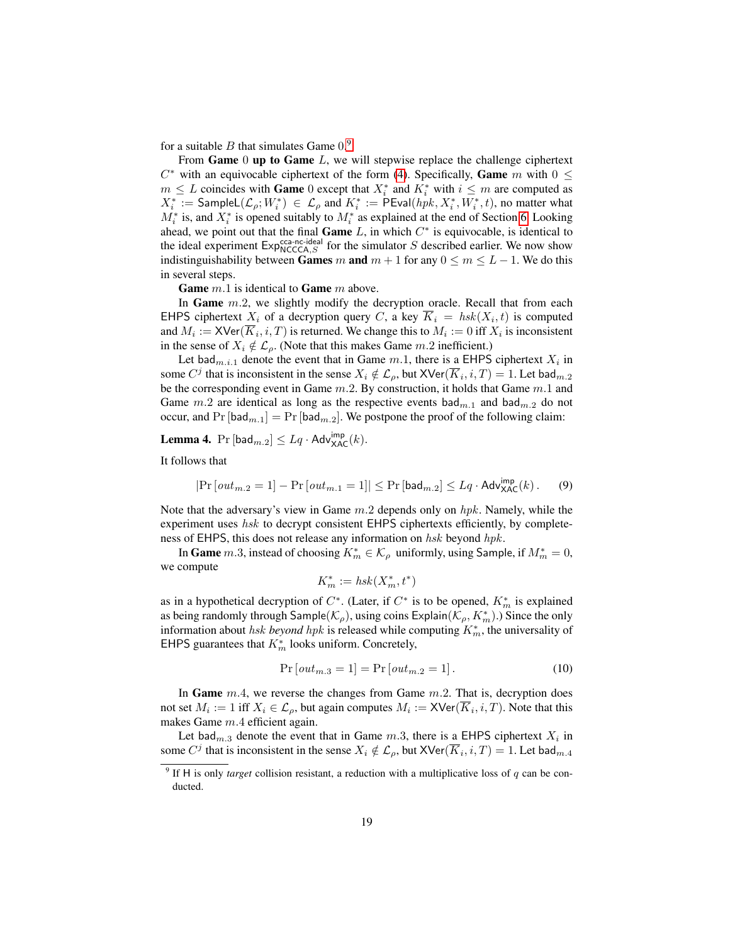for a suitable  $B$  that simulates Game  $0.<sup>9</sup>$  $0.<sup>9</sup>$  $0.<sup>9</sup>$ 

From Game  $0$  up to Game  $L$ , we will stepwise replace the challenge ciphertext  $C^*$  with an equivocable ciphertext of the form [\(4\)](#page-16-0). Specifically, Game m with  $0 \leq$  $m \leq L$  coincides with **Game** 0 except that  $X_i^*$  and  $K_i^*$  with  $i \leq m$  are computed as  $X_i^* := \mathsf{SampleL}(\mathcal{L}_\rho; W_i^*) \in \mathcal{L}_\rho$  and  $K_i^* := \mathsf{PEval}(hpk, X_i^*, W_i^*, t)$ , no matter what  $M_i^*$  is, and  $X_i^*$  is opened suitably to  $M_i^*$  as explained at the end of Section [6.](#page-15-0) Looking ahead, we point out that the final Game  $L$ , in which  $C^*$  is equivocable, is identical to the ideal experiment  $\mathsf{Exp}^{\mathsf{cca-nc-ideal}}_{\mathsf{NCCCA},S}$  for the simulator S described earlier. We now show indistinguishability between Games m and  $m + 1$  for any  $0 \le m \le L - 1$ . We do this in several steps.

**Game**  $m.1$  is identical to **Game**  $m$  above.

In Game  $m.2$ , we slightly modify the decryption oracle. Recall that from each EHPS ciphertext  $X_i$  of a decryption query C, a key  $K_i = \text{hsk}(X_i, t)$  is computed and  $M_i := \mathsf{XVer}(K_i, i, T)$  is returned. We change this to  $M_i := 0$  iff  $X_i$  is inconsistent in the sense of  $X_i \notin \mathcal{L}_{\rho}$ . (Note that this makes Game m.2 inefficient.)

Let bad $_{m,i,1}$  denote the event that in Game  $m.1$ , there is a EHPS ciphertext  $X_i$  in some  $C^j$  that is inconsistent in the sense  $X_i \notin \mathcal{L}_\rho$ , but  $X\text{Ver}(\overline{K}_i, i, T) = 1$ . Let bad $m, n$ be the corresponding event in Game  $m.2$ . By construction, it holds that Game  $m.1$  and Game  $m.2$  are identical as long as the respective events bad<sub>m.1</sub> and bad<sub>m.2</sub> do not occur, and  $Pr[bad_{m,1}] = Pr[bad_{m,2}]$ . We postpone the proof of the following claim:

**Lemma 4.**  $Pr[\mathsf{bad}_{m.2}] \leq Lq \cdot \mathsf{Adv}_{\mathsf{XAC}}^{\mathsf{imp}}(k).$ 

It follows that

<span id="page-18-1"></span>
$$
|\Pr\left[\text{out}_{m.2} = 1\right] - \Pr\left[\text{out}_{m.1} = 1\right]| \le \Pr\left[\text{bad}_{m.2}\right] \le Lq \cdot \text{Adv}_{\text{XAC}}^{\text{imp}}(k). \tag{9}
$$

Note that the adversary's view in Game  $m.2$  depends only on  $hpk$ . Namely, while the experiment uses hsk to decrypt consistent EHPS ciphertexts efficiently, by completeness of EHPS, this does not release any information on hsk beyond hpk.

In Game  $m.3$ , instead of choosing  $K_m^* \in \mathcal{K}_{\rho}$  uniformly, using Sample, if  $M_m^* = 0$ , we compute

<span id="page-18-3"></span>
$$
K_m^* := \mathit{hsk}(X_m^*, t^*)
$$

as in a hypothetical decryption of  $C^*$ . (Later, if  $C^*$  is to be opened,  $K_m^*$  is explained as being randomly through Sample $(\mathcal{K}_{\rho})$ , using coins Explain $(\mathcal{K}_{\rho}, K_{m}^{*})$ .) Since the only information about hsk beyond hpk is released while computing  $K_m^*$ , the universality of EHPS guarantees that  $K_m^*$  looks uniform. Concretely,

<span id="page-18-2"></span>
$$
Pr[out_{m.3} = 1] = Pr[out_{m.2} = 1].
$$
\n(10)

In Game  $m.4$ , we reverse the changes from Game  $m.2$ . That is, decryption does not set  $M_i := 1$  iff  $X_i \in \mathcal{L}_{\rho}$ , but again computes  $M_i := \mathsf{XVer}(\overline{K}_i, i, T)$ . Note that this makes Game m.4 efficient again.

Let bad<sub>m.3</sub> denote the event that in Game m.3, there is a EHPS ciphertext  $X_i$  in some  $C^j$  that is inconsistent in the sense  $X_i \notin \mathcal{L}_{\rho}$ , but  $X\text{Ver}(\overline{K}_i, i, T) = 1$ . Let bad $_{m, 4}$ 

<span id="page-18-0"></span> $9$  If H is only *target* collision resistant, a reduction with a multiplicative loss of  $q$  can be conducted.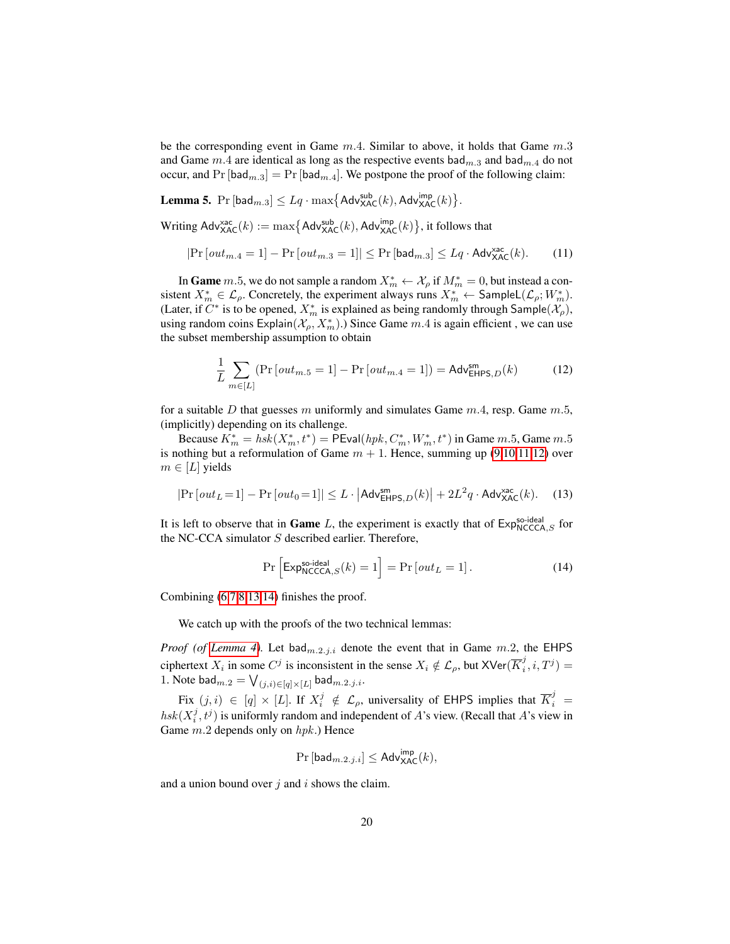be the corresponding event in Game  $m.4$ . Similar to above, it holds that Game  $m.3$ and Game  $m.4$  are identical as long as the respective events bad<sub>m.3</sub> and bad<sub>m.4</sub> do not occur, and  $Pr[bad_{m,3}] = Pr[bad_{m,4}]$ . We postpone the proof of the following claim:

**Lemma 5.**  $Pr[\mathsf{bad}_{m.3}] \leq Lq \cdot \max\{\mathsf{Adv}_{\mathsf{XAC}}^{\mathsf{sub}}(k), \mathsf{Adv}_{\mathsf{XAC}}^{\mathsf{imp}}(k)\}.$ 

Writing  $Adv_{\text{XAC}}^{\text{vac}}(k) := \max \left\{ Adv_{\text{XAC}}^{\text{sub}}(k), Adv_{\text{XAC}}^{\text{imp}}(k) \right\}$ , it follows that

<span id="page-19-4"></span><span id="page-19-0"></span>
$$
|\Pr\left[\text{out}_{m.4}=1\right]-\Pr\left[\text{out}_{m.3}=1\right]|\leq\Pr\left[\text{bad}_{m.3}\right]\leq Lq\cdot\text{Adv}_{\text{XAC}}^{\text{vac}}(k). \tag{11}
$$

In Game  $m.5$ , we do not sample a random  $X_m^* \leftarrow \mathcal{X}_\rho$  if  $M_m^* = 0$ , but instead a consistent  $X_m^* \in \mathcal{L}_\rho$ . Concretely, the experiment always runs  $X_m^* \leftarrow$  SampleL $(\mathcal{L}_\rho; W_m^*)$ . (Later, if  $C^*$  is to be opened,  $X_m^*$  is explained as being randomly through Sample $(\mathcal{X}_\rho)$ , using random coins  $\textsf{Explain}(\mathcal{X}_p, X_m^*)$ .) Since Game  $m.4$  is again efficient, we can use the subset membership assumption to obtain

<span id="page-19-1"></span>
$$
\frac{1}{L} \sum_{m \in [L]} (\Pr\left[out_{m.5} = 1\right] - \Pr\left[out_{m.4} = 1\right]) = \mathsf{Adv}_{\mathsf{EHPS},D}^{\mathsf{sm}}(k) \tag{12}
$$

for a suitable D that guesses m uniformly and simulates Game  $m.4$ , resp. Game  $m.5$ , (implicitly) depending on its challenge.

Because  $K_m^* = \hbar sk(X_m^*, t^*) = \textsf{PEval}(\hbar pk, C_m^*, W_m^*, t^*)$  in Game  $m.5$ , Game  $m.5$ is nothing but a reformulation of Game  $m + 1$ . Hence, summing up [\(9,](#page-18-1)[10,](#page-18-2)[11,](#page-19-0)[12\)](#page-19-1) over  $m \in [L]$  yields

<span id="page-19-2"></span>
$$
|\Pr\left[\text{out}_L=1\right] - \Pr\left[\text{out}_0=1\right]| \le L \cdot \left|\text{Adv}_{\text{EHPS},D}^{\text{sm}}(k)\right| + 2L^2 q \cdot \text{Adv}_{\text{XAC}}^{\text{vac}}(k). \tag{13}
$$

It is left to observe that in **Game** L, the experiment is exactly that of  $Exp_{NCCCA,S}^{so-ideal}$  for the NC-CCA simulator  $S$  described earlier. Therefore,

<span id="page-19-3"></span>
$$
\Pr\left[\text{Exp}_{\text{NCCCA},S}^{\text{so-ideal}}(k) = 1\right] = \Pr\left[\text{out}_{L} = 1\right].\tag{14}
$$

Combining [\(6](#page-17-0)[,7](#page-17-1)[,8](#page-17-2)[,13](#page-19-2)[,14\)](#page-19-3) finishes the proof.

We catch up with the proofs of the two technical lemmas:

*Proof (of [Lemma 4\)](#page-18-3)*. Let bad<sub>m.2.j,i</sub> denote the event that in Game  $m.2$ , the EHPS ciphertext  $X_i$  in some  $C^j$  is inconsistent in the sense  $X_i \notin \mathcal{L}_\rho$ , but XVer $(\overline{K}_i^j)$  $i$ ,  $i, T^j$ ) = 1. Note bad $_{m.2}=\bigvee_{(j,i)\in [q]\times [L]}$  bad $_{m.2.j.i.}$ 

Fix  $(j, i) \in [q] \times [L]$ . If  $X_i^j \notin \mathcal{L}_\rho$ , universality of EHPS implies that  $\overline{K}_i^j =$  $hsk(X_i^j, t^j)$  is uniformly random and independent of A's view. (Recall that A's view in Game  $m.2$  depends only on  $hpk.$ ) Hence

$$
\Pr\left[\mathsf{bad}_{m.2.j.i}\right] \leq \mathsf{Adv}_{\mathsf{XAC}}^{\mathsf{imp}}(k),
$$

and a union bound over  $i$  and  $i$  shows the claim.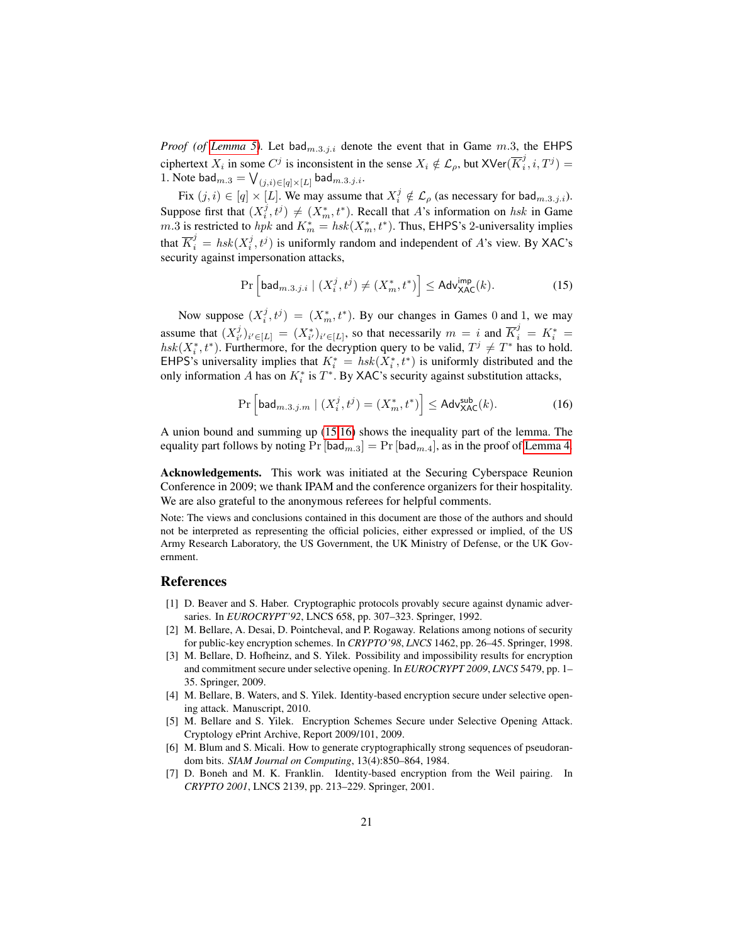*Proof (of [Lemma 5\)](#page-19-4)*. Let bad<sub>m.3.j.i</sub> denote the event that in Game m.3, the EHPS ciphertext  $X_i$  in some  $C^j$  is inconsistent in the sense  $X_i \notin \mathcal{L}_\rho$ , but XVer $(\overline{K}_i^j)$  $i$ ,  $i, T^j$ ) = 1. Note bad $_{m.3} = \bigvee_{(j,i) \in [q] \times [L]}$  bad $_{m.3.j.i.}$ 

Fix  $(j, i) \in [q] \times [L]$ . We may assume that  $X_i^j \notin L_\rho$  (as necessary for bad<sub>m.3.j.i</sub>). Suppose first that  $(X_i^j, t^j) \neq (X_m^*, t^*)$ . Recall that A's information on hsk in Game m.3 is restricted to hpk and  $K_m^* = \text{hsk}(X_m^*, t^*)$ . Thus, EHPS's 2-universality implies that  $\overline{K}_i^j = \text{hsk}(X_i^j, t^j)$  is uniformly random and independent of A's view. By XAC's security against impersonation attacks,

<span id="page-20-7"></span>
$$
\Pr\left[\text{bad}_{m.3,j.i} \mid (X_i^j, t^j) \neq (X_m^*, t^*)\right] \le \text{Adv}_{\text{XAC}}^{\text{imp}}(k). \tag{15}
$$

Now suppose  $(X_i^j, t^j) = (X_m^*, t^*)$ . By our changes in Games 0 and 1, we may assume that  $(X_i^j)_{i' \in [L]} = (X_i^*)_{i' \in [L]}$ , so that necessarily  $m = i$  and  $\overline{K}_i^j = K_i^* =$  $hsk(X_i^*, t^*)$ . Furthermore, for the decryption query to be valid,  $T^j \neq T^*$  has to hold. EHPS's universality implies that  $K_i^* = \text{hsk}(X_i^*, t^*)$  is uniformly distributed and the only information A has on  $K_i^*$  is  $T^*$ . By XAC's security against substitution attacks,

<span id="page-20-8"></span>
$$
\Pr\left[\text{bad}_{m.3,j,m} \mid (X_i^j, t^j) = (X_m^*, t^*)\right] \le \text{Adv}_{\text{XAC}}^{\text{sub}}(k). \tag{16}
$$

A union bound and summing up [\(15,](#page-20-7)[16\)](#page-20-8) shows the inequality part of the lemma. The equality part follows by noting  $Pr[bad_{m,3}] = Pr[bad_{m,4}]$ , as in the proof of [Lemma 4.](#page-18-3)

Acknowledgements. This work was initiated at the Securing Cyberspace Reunion Conference in 2009; we thank IPAM and the conference organizers for their hospitality. We are also grateful to the anonymous referees for helpful comments.

Note: The views and conclusions contained in this document are those of the authors and should not be interpreted as representing the official policies, either expressed or implied, of the US Army Research Laboratory, the US Government, the UK Ministry of Defense, or the UK Government.

## References

- <span id="page-20-0"></span>[1] D. Beaver and S. Haber. Cryptographic protocols provably secure against dynamic adversaries. In *EUROCRYPT'92*, LNCS 658, pp. 307–323. Springer, 1992.
- <span id="page-20-4"></span>[2] M. Bellare, A. Desai, D. Pointcheval, and P. Rogaway. Relations among notions of security for public-key encryption schemes. In *CRYPTO'98*, *LNCS* 1462, pp. 26–45. Springer, 1998.
- <span id="page-20-1"></span>[3] M. Bellare, D. Hofheinz, and S. Yilek. Possibility and impossibility results for encryption and commitment secure under selective opening. In *EUROCRYPT 2009*, *LNCS* 5479, pp. 1– 35. Springer, 2009.
- <span id="page-20-3"></span>[4] M. Bellare, B. Waters, and S. Yilek. Identity-based encryption secure under selective opening attack. Manuscript, 2010.
- <span id="page-20-2"></span>[5] M. Bellare and S. Yilek. Encryption Schemes Secure under Selective Opening Attack. Cryptology ePrint Archive, Report 2009/101, 2009.
- <span id="page-20-5"></span>[6] M. Blum and S. Micali. How to generate cryptographically strong sequences of pseudorandom bits. *SIAM Journal on Computing*, 13(4):850–864, 1984.
- <span id="page-20-6"></span>[7] D. Boneh and M. K. Franklin. Identity-based encryption from the Weil pairing. In *CRYPTO 2001*, LNCS 2139, pp. 213–229. Springer, 2001.